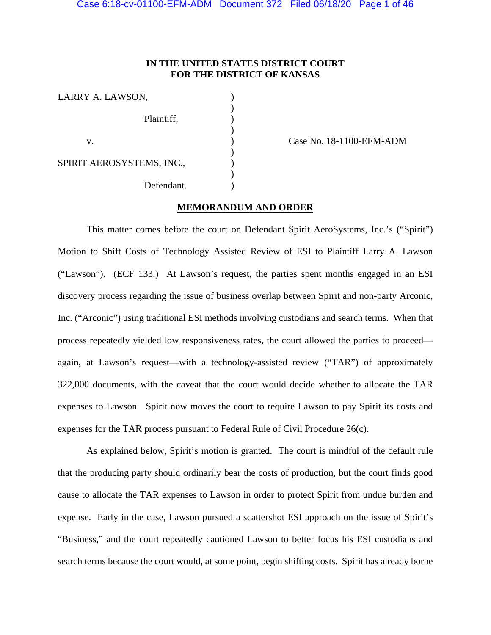# **IN THE UNITED STATES DISTRICT COURT FOR THE DISTRICT OF KANSAS**

| LARRY A. LAWSON,          |  |
|---------------------------|--|
|                           |  |
| Plaintiff,                |  |
|                           |  |
| V.                        |  |
| SPIRIT AEROSYSTEMS, INC., |  |
|                           |  |
| Defendant.                |  |
|                           |  |

Case No. 18-1100-EFM-ADM

# **MEMORANDUM AND ORDER**

This matter comes before the court on Defendant Spirit AeroSystems, Inc.'s ("Spirit") Motion to Shift Costs of Technology Assisted Review of ESI to Plaintiff Larry A. Lawson ("Lawson"). (ECF 133.) At Lawson's request, the parties spent months engaged in an ESI discovery process regarding the issue of business overlap between Spirit and non-party Arconic, Inc. ("Arconic") using traditional ESI methods involving custodians and search terms. When that process repeatedly yielded low responsiveness rates, the court allowed the parties to proceed again, at Lawson's request—with a technology-assisted review ("TAR") of approximately 322,000 documents, with the caveat that the court would decide whether to allocate the TAR expenses to Lawson. Spirit now moves the court to require Lawson to pay Spirit its costs and expenses for the TAR process pursuant to Federal Rule of Civil Procedure 26(c).

As explained below, Spirit's motion is granted. The court is mindful of the default rule that the producing party should ordinarily bear the costs of production, but the court finds good cause to allocate the TAR expenses to Lawson in order to protect Spirit from undue burden and expense. Early in the case, Lawson pursued a scattershot ESI approach on the issue of Spirit's "Business," and the court repeatedly cautioned Lawson to better focus his ESI custodians and search terms because the court would, at some point, begin shifting costs. Spirit has already borne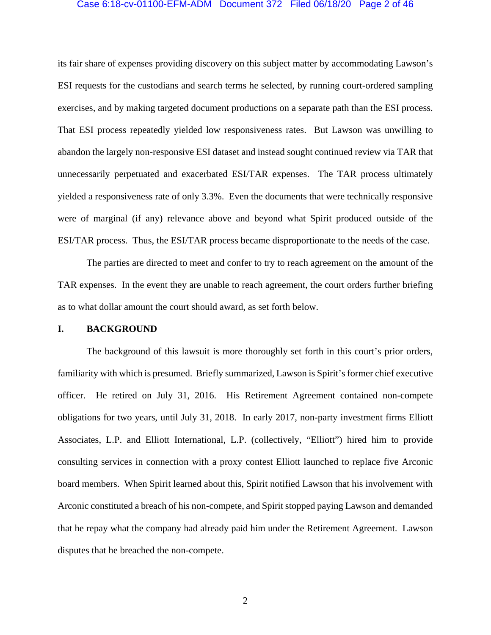## Case 6:18-cv-01100-EFM-ADM Document 372 Filed 06/18/20 Page 2 of 46

its fair share of expenses providing discovery on this subject matter by accommodating Lawson's ESI requests for the custodians and search terms he selected, by running court-ordered sampling exercises, and by making targeted document productions on a separate path than the ESI process. That ESI process repeatedly yielded low responsiveness rates. But Lawson was unwilling to abandon the largely non-responsive ESI dataset and instead sought continued review via TAR that unnecessarily perpetuated and exacerbated ESI/TAR expenses. The TAR process ultimately yielded a responsiveness rate of only 3.3%. Even the documents that were technically responsive were of marginal (if any) relevance above and beyond what Spirit produced outside of the ESI/TAR process. Thus, the ESI/TAR process became disproportionate to the needs of the case.

The parties are directed to meet and confer to try to reach agreement on the amount of the TAR expenses. In the event they are unable to reach agreement, the court orders further briefing as to what dollar amount the court should award, as set forth below.

## **I. BACKGROUND**

The background of this lawsuit is more thoroughly set forth in this court's prior orders, familiarity with which is presumed. Briefly summarized, Lawson is Spirit's former chief executive officer. He retired on July 31, 2016. His Retirement Agreement contained non-compete obligations for two years, until July 31, 2018. In early 2017, non-party investment firms Elliott Associates, L.P. and Elliott International, L.P. (collectively, "Elliott") hired him to provide consulting services in connection with a proxy contest Elliott launched to replace five Arconic board members. When Spirit learned about this, Spirit notified Lawson that his involvement with Arconic constituted a breach of his non-compete, and Spirit stopped paying Lawson and demanded that he repay what the company had already paid him under the Retirement Agreement. Lawson disputes that he breached the non-compete.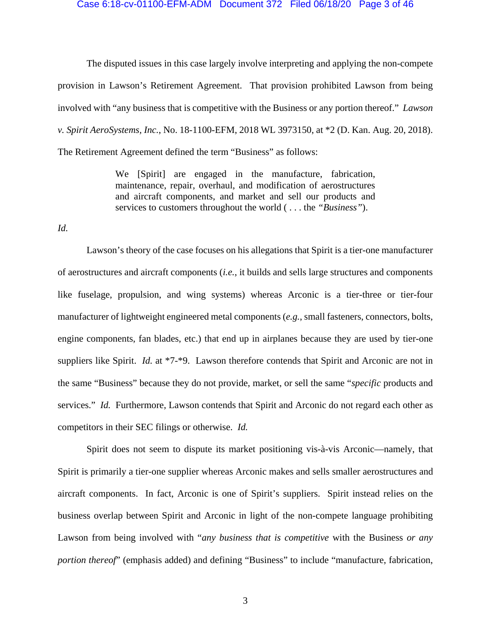### Case 6:18-cv-01100-EFM-ADM Document 372 Filed 06/18/20 Page 3 of 46

The disputed issues in this case largely involve interpreting and applying the non-compete provision in Lawson's Retirement Agreement. That provision prohibited Lawson from being involved with "any business that is competitive with the Business or any portion thereof." *Lawson v. Spirit AeroSystems, Inc.*, No. 18-1100-EFM, 2018 WL 3973150, at \*2 (D. Kan. Aug. 20, 2018). The Retirement Agreement defined the term "Business" as follows:

> We [Spirit] are engaged in the manufacture, fabrication, maintenance, repair, overhaul, and modification of aerostructures and aircraft components, and market and sell our products and services to customers throughout the world ( . . . the *"Business"*).

## *Id.*

Lawson's theory of the case focuses on his allegations that Spirit is a tier-one manufacturer of aerostructures and aircraft components (*i.e.*, it builds and sells large structures and components like fuselage, propulsion, and wing systems) whereas Arconic is a tier-three or tier-four manufacturer of lightweight engineered metal components (*e.g.*, small fasteners, connectors, bolts, engine components, fan blades, etc.) that end up in airplanes because they are used by tier-one suppliers like Spirit. *Id.* at \*7-\*9. Lawson therefore contends that Spirit and Arconic are not in the same "Business" because they do not provide, market, or sell the same "*specific* products and services." *Id.* Furthermore, Lawson contends that Spirit and Arconic do not regard each other as competitors in their SEC filings or otherwise. *Id.*

Spirit does not seem to dispute its market positioning vis-à-vis Arconic—namely, that Spirit is primarily a tier-one supplier whereas Arconic makes and sells smaller aerostructures and aircraft components. In fact, Arconic is one of Spirit's suppliers. Spirit instead relies on the business overlap between Spirit and Arconic in light of the non-compete language prohibiting Lawson from being involved with "*any business that is competitive* with the Business *or any portion thereof*" (emphasis added) and defining "Business" to include "manufacture, fabrication,

3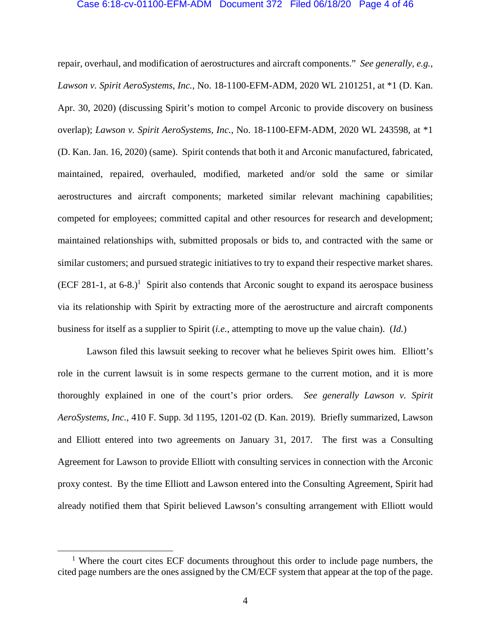#### Case 6:18-cv-01100-EFM-ADM Document 372 Filed 06/18/20 Page 4 of 46

repair, overhaul, and modification of aerostructures and aircraft components." *See generally, e.g.*, *Lawson v. Spirit AeroSystems, Inc.*, No. 18-1100-EFM-ADM, 2020 WL 2101251, at \*1 (D. Kan. Apr. 30, 2020) (discussing Spirit's motion to compel Arconic to provide discovery on business overlap); *Lawson v. Spirit AeroSystems, Inc.*, No. 18-1100-EFM-ADM, 2020 WL 243598, at \*1 (D. Kan. Jan. 16, 2020) (same). Spirit contends that both it and Arconic manufactured, fabricated, maintained, repaired, overhauled, modified, marketed and/or sold the same or similar aerostructures and aircraft components; marketed similar relevant machining capabilities; competed for employees; committed capital and other resources for research and development; maintained relationships with, submitted proposals or bids to, and contracted with the same or similar customers; and pursued strategic initiatives to try to expand their respective market shares.  $(ECF 281-1, at 6-8.)$ <sup>1</sup> Spirit also contends that Arconic sought to expand its aerospace business via its relationship with Spirit by extracting more of the aerostructure and aircraft components business for itself as a supplier to Spirit (*i.e.*, attempting to move up the value chain). (*Id.*)

Lawson filed this lawsuit seeking to recover what he believes Spirit owes him. Elliott's role in the current lawsuit is in some respects germane to the current motion, and it is more thoroughly explained in one of the court's prior orders. *See generally Lawson v. Spirit AeroSystems, Inc.*, 410 F. Supp. 3d 1195, 1201-02 (D. Kan. 2019).Briefly summarized, Lawson and Elliott entered into two agreements on January 31, 2017. The first was a Consulting Agreement for Lawson to provide Elliott with consulting services in connection with the Arconic proxy contest. By the time Elliott and Lawson entered into the Consulting Agreement, Spirit had already notified them that Spirit believed Lawson's consulting arrangement with Elliott would

 $\overline{\phantom{0}}$ <sup> $1$ </sup> Where the court cites ECF documents throughout this order to include page numbers, the cited page numbers are the ones assigned by the CM/ECF system that appear at the top of the page.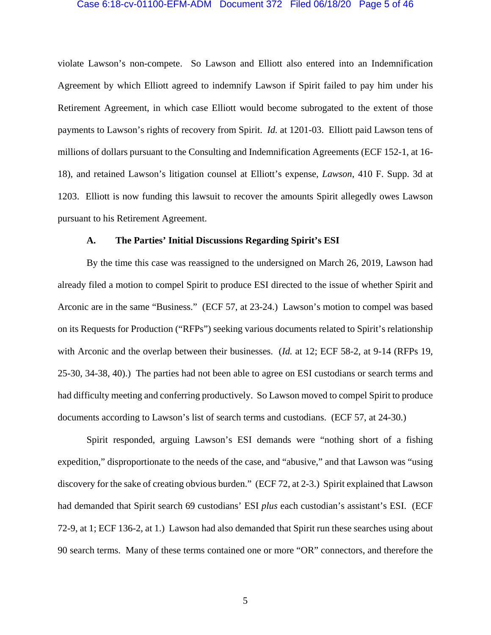# Case 6:18-cv-01100-EFM-ADM Document 372 Filed 06/18/20 Page 5 of 46

violate Lawson's non-compete. So Lawson and Elliott also entered into an Indemnification Agreement by which Elliott agreed to indemnify Lawson if Spirit failed to pay him under his Retirement Agreement, in which case Elliott would become subrogated to the extent of those payments to Lawson's rights of recovery from Spirit. *Id.* at 1201-03. Elliott paid Lawson tens of millions of dollars pursuant to the Consulting and Indemnification Agreements (ECF 152-1, at 16- 18), and retained Lawson's litigation counsel at Elliott's expense, *Lawson*, 410 F. Supp. 3d at 1203. Elliott is now funding this lawsuit to recover the amounts Spirit allegedly owes Lawson pursuant to his Retirement Agreement.

## **A. The Parties' Initial Discussions Regarding Spirit's ESI**

By the time this case was reassigned to the undersigned on March 26, 2019, Lawson had already filed a motion to compel Spirit to produce ESI directed to the issue of whether Spirit and Arconic are in the same "Business." (ECF 57, at 23-24.) Lawson's motion to compel was based on its Requests for Production ("RFPs") seeking various documents related to Spirit's relationship with Arconic and the overlap between their businesses. (*Id.* at 12; ECF 58-2, at 9-14 (RFPs 19, 25-30, 34-38, 40).) The parties had not been able to agree on ESI custodians or search terms and had difficulty meeting and conferring productively. So Lawson moved to compel Spirit to produce documents according to Lawson's list of search terms and custodians. (ECF 57, at 24-30.)

Spirit responded, arguing Lawson's ESI demands were "nothing short of a fishing expedition," disproportionate to the needs of the case, and "abusive," and that Lawson was "using discovery for the sake of creating obvious burden." (ECF 72, at 2-3.) Spirit explained that Lawson had demanded that Spirit search 69 custodians' ESI *plus* each custodian's assistant's ESI. (ECF 72-9, at 1; ECF 136-2, at 1.) Lawson had also demanded that Spirit run these searches using about 90 search terms. Many of these terms contained one or more "OR" connectors, and therefore the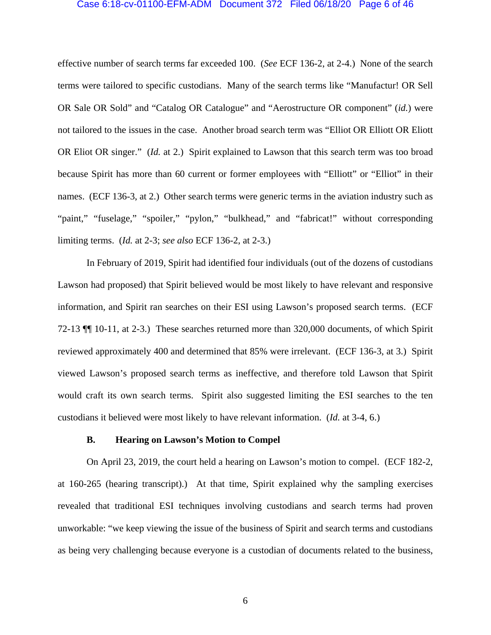## Case 6:18-cv-01100-EFM-ADM Document 372 Filed 06/18/20 Page 6 of 46

effective number of search terms far exceeded 100. (*See* ECF 136-2, at 2-4.) None of the search terms were tailored to specific custodians. Many of the search terms like "Manufactur! OR Sell OR Sale OR Sold" and "Catalog OR Catalogue" and "Aerostructure OR component" (*id.*) were not tailored to the issues in the case. Another broad search term was "Elliot OR Elliott OR Eliott OR Eliot OR singer." (*Id.* at 2.) Spirit explained to Lawson that this search term was too broad because Spirit has more than 60 current or former employees with "Elliott" or "Elliot" in their names. (ECF 136-3, at 2.) Other search terms were generic terms in the aviation industry such as "paint," "fuselage," "spoiler," "pylon," "bulkhead," and "fabricat!" without corresponding limiting terms. (*Id.* at 2-3; *see also* ECF 136-2, at 2-3.)

In February of 2019, Spirit had identified four individuals (out of the dozens of custodians Lawson had proposed) that Spirit believed would be most likely to have relevant and responsive information, and Spirit ran searches on their ESI using Lawson's proposed search terms. (ECF 72-13 ¶¶ 10-11, at 2-3.) These searches returned more than 320,000 documents, of which Spirit reviewed approximately 400 and determined that 85% were irrelevant. (ECF 136-3, at 3.) Spirit viewed Lawson's proposed search terms as ineffective, and therefore told Lawson that Spirit would craft its own search terms. Spirit also suggested limiting the ESI searches to the ten custodians it believed were most likely to have relevant information. (*Id.* at 3-4, 6.)

## **B. Hearing on Lawson's Motion to Compel**

 On April 23, 2019, the court held a hearing on Lawson's motion to compel. (ECF 182-2, at 160-265 (hearing transcript).) At that time, Spirit explained why the sampling exercises revealed that traditional ESI techniques involving custodians and search terms had proven unworkable: "we keep viewing the issue of the business of Spirit and search terms and custodians as being very challenging because everyone is a custodian of documents related to the business,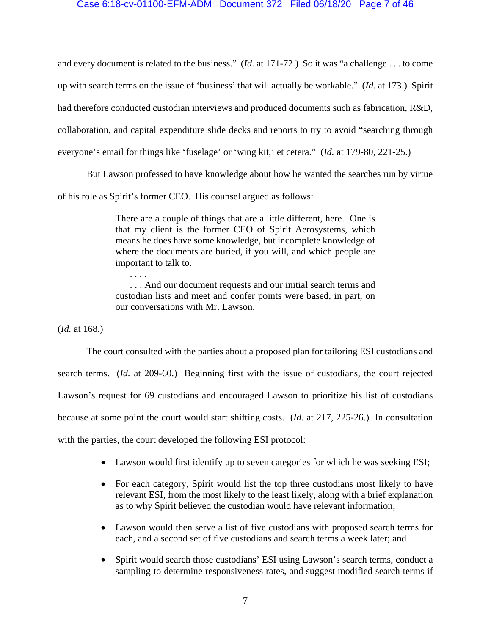## Case 6:18-cv-01100-EFM-ADM Document 372 Filed 06/18/20 Page 7 of 46

and every document is related to the business." (*Id.* at 171-72.) So it was "a challenge . . . to come up with search terms on the issue of 'business' that will actually be workable." (*Id.* at 173.) Spirit had therefore conducted custodian interviews and produced documents such as fabrication, R&D, collaboration, and capital expenditure slide decks and reports to try to avoid "searching through everyone's email for things like 'fuselage' or 'wing kit,' et cetera." (*Id.* at 179-80, 221-25.)

 But Lawson professed to have knowledge about how he wanted the searches run by virtue of his role as Spirit's former CEO. His counsel argued as follows:

> There are a couple of things that are a little different, here. One is that my client is the former CEO of Spirit Aerosystems, which means he does have some knowledge, but incomplete knowledge of where the documents are buried, if you will, and which people are important to talk to.

> . . . And our document requests and our initial search terms and custodian lists and meet and confer points were based, in part, on our conversations with Mr. Lawson.

(*Id.* at 168.)

. . . .

 The court consulted with the parties about a proposed plan for tailoring ESI custodians and search terms. (*Id.* at 209-60.) Beginning first with the issue of custodians, the court rejected Lawson's request for 69 custodians and encouraged Lawson to prioritize his list of custodians because at some point the court would start shifting costs. (*Id.* at 217, 225-26.) In consultation with the parties, the court developed the following ESI protocol:

- Lawson would first identify up to seven categories for which he was seeking ESI;
- For each category, Spirit would list the top three custodians most likely to have relevant ESI, from the most likely to the least likely, along with a brief explanation as to why Spirit believed the custodian would have relevant information;
- Lawson would then serve a list of five custodians with proposed search terms for each, and a second set of five custodians and search terms a week later; and
- Spirit would search those custodians' ESI using Lawson's search terms, conduct a sampling to determine responsiveness rates, and suggest modified search terms if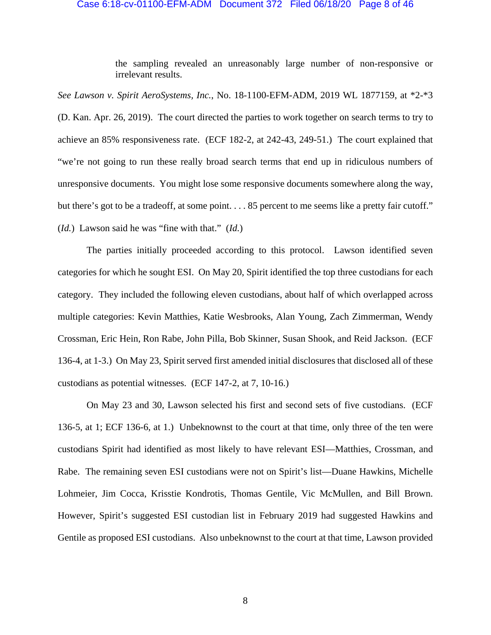#### Case 6:18-cv-01100-EFM-ADM Document 372 Filed 06/18/20 Page 8 of 46

the sampling revealed an unreasonably large number of non-responsive or irrelevant results.

*See Lawson v. Spirit AeroSystems, Inc.*, No. 18-1100-EFM-ADM, 2019 WL 1877159, at \*2-\*3 (D. Kan. Apr. 26, 2019). The court directed the parties to work together on search terms to try to achieve an 85% responsiveness rate. (ECF 182-2, at 242-43, 249-51.) The court explained that "we're not going to run these really broad search terms that end up in ridiculous numbers of unresponsive documents. You might lose some responsive documents somewhere along the way, but there's got to be a tradeoff, at some point. . . . 85 percent to me seems like a pretty fair cutoff." (*Id.*) Lawson said he was "fine with that." (*Id.*)

The parties initially proceeded according to this protocol. Lawson identified seven categories for which he sought ESI. On May 20, Spirit identified the top three custodians for each category. They included the following eleven custodians, about half of which overlapped across multiple categories: Kevin Matthies, Katie Wesbrooks, Alan Young, Zach Zimmerman, Wendy Crossman, Eric Hein, Ron Rabe, John Pilla, Bob Skinner, Susan Shook, and Reid Jackson. (ECF 136-4, at 1-3.) On May 23, Spirit served first amended initial disclosures that disclosed all of these custodians as potential witnesses. (ECF 147-2, at 7, 10-16.)

On May 23 and 30, Lawson selected his first and second sets of five custodians. (ECF 136-5, at 1; ECF 136-6, at 1.) Unbeknownst to the court at that time, only three of the ten were custodians Spirit had identified as most likely to have relevant ESI—Matthies, Crossman, and Rabe. The remaining seven ESI custodians were not on Spirit's list—Duane Hawkins, Michelle Lohmeier, Jim Cocca, Krisstie Kondrotis, Thomas Gentile, Vic McMullen, and Bill Brown. However, Spirit's suggested ESI custodian list in February 2019 had suggested Hawkins and Gentile as proposed ESI custodians. Also unbeknownst to the court at that time, Lawson provided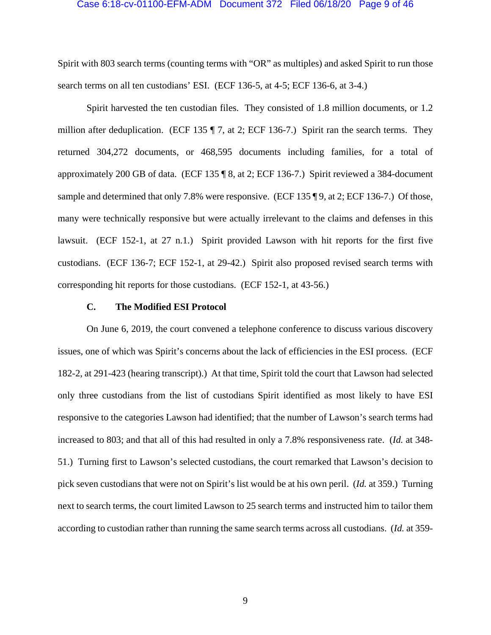## Case 6:18-cv-01100-EFM-ADM Document 372 Filed 06/18/20 Page 9 of 46

Spirit with 803 search terms (counting terms with "OR" as multiples) and asked Spirit to run those search terms on all ten custodians' ESI. (ECF 136-5, at 4-5; ECF 136-6, at 3-4.)

Spirit harvested the ten custodian files. They consisted of 1.8 million documents, or 1.2 million after deduplication. (ECF 135 ¶ 7, at 2; ECF 136-7.) Spirit ran the search terms. They returned 304,272 documents, or 468,595 documents including families, for a total of approximately 200 GB of data. (ECF 135 ¶ 8, at 2; ECF 136-7.) Spirit reviewed a 384-document sample and determined that only 7.8% were responsive. (ECF 135 \leq 9, at 2; ECF 136-7.) Of those, many were technically responsive but were actually irrelevant to the claims and defenses in this lawsuit. (ECF 152-1, at 27 n.1.) Spirit provided Lawson with hit reports for the first five custodians. (ECF 136-7; ECF 152-1, at 29-42.) Spirit also proposed revised search terms with corresponding hit reports for those custodians. (ECF 152-1, at 43-56.)

## **C. The Modified ESI Protocol**

On June 6, 2019, the court convened a telephone conference to discuss various discovery issues, one of which was Spirit's concerns about the lack of efficiencies in the ESI process. (ECF 182-2, at 291-423 (hearing transcript).) At that time, Spirit told the court that Lawson had selected only three custodians from the list of custodians Spirit identified as most likely to have ESI responsive to the categories Lawson had identified; that the number of Lawson's search terms had increased to 803; and that all of this had resulted in only a 7.8% responsiveness rate. (*Id.* at 348- 51.) Turning first to Lawson's selected custodians, the court remarked that Lawson's decision to pick seven custodians that were not on Spirit's list would be at his own peril. (*Id.* at 359.) Turning next to search terms, the court limited Lawson to 25 search terms and instructed him to tailor them according to custodian rather than running the same search terms across all custodians. (*Id.* at 359-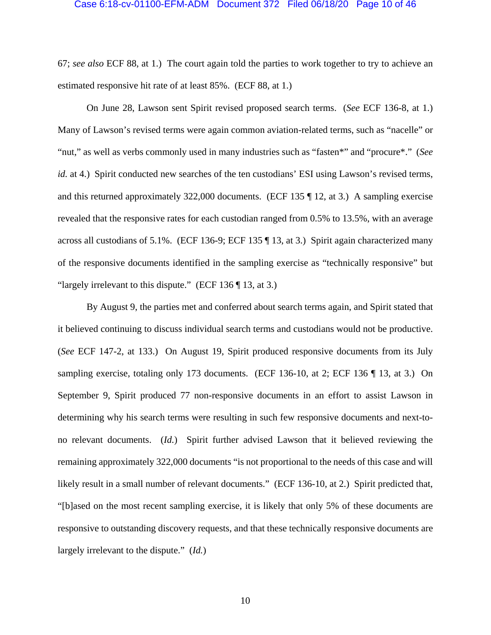# Case 6:18-cv-01100-EFM-ADM Document 372 Filed 06/18/20 Page 10 of 46

67; *see also* ECF 88, at 1.) The court again told the parties to work together to try to achieve an estimated responsive hit rate of at least 85%. (ECF 88, at 1.)

On June 28, Lawson sent Spirit revised proposed search terms. (*See* ECF 136-8, at 1.) Many of Lawson's revised terms were again common aviation-related terms, such as "nacelle" or "nut," as well as verbs commonly used in many industries such as "fasten\*" and "procure\*." (*See id.* at 4.) Spirit conducted new searches of the ten custodians' ESI using Lawson's revised terms, and this returned approximately 322,000 documents. (ECF 135 ¶ 12, at 3.) A sampling exercise revealed that the responsive rates for each custodian ranged from 0.5% to 13.5%, with an average across all custodians of 5.1%. (ECF 136-9; ECF 135 ¶ 13, at 3.) Spirit again characterized many of the responsive documents identified in the sampling exercise as "technically responsive" but "largely irrelevant to this dispute." (ECF 136 ¶ 13, at 3.)

By August 9, the parties met and conferred about search terms again, and Spirit stated that it believed continuing to discuss individual search terms and custodians would not be productive. (*See* ECF 147-2, at 133.) On August 19, Spirit produced responsive documents from its July sampling exercise, totaling only 173 documents. (ECF 136-10, at 2; ECF 136 ¶ 13, at 3.) On September 9, Spirit produced 77 non-responsive documents in an effort to assist Lawson in determining why his search terms were resulting in such few responsive documents and next-tono relevant documents. (*Id.*) Spirit further advised Lawson that it believed reviewing the remaining approximately 322,000 documents "is not proportional to the needs of this case and will likely result in a small number of relevant documents." (ECF 136-10, at 2.) Spirit predicted that, "[b]ased on the most recent sampling exercise, it is likely that only 5% of these documents are responsive to outstanding discovery requests, and that these technically responsive documents are largely irrelevant to the dispute." (*Id.*)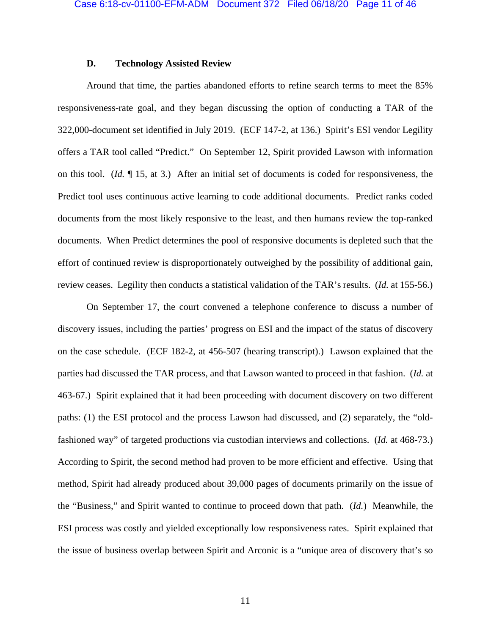## **D. Technology Assisted Review**

Around that time, the parties abandoned efforts to refine search terms to meet the 85% responsiveness-rate goal, and they began discussing the option of conducting a TAR of the 322,000-document set identified in July 2019. (ECF 147-2, at 136.) Spirit's ESI vendor Legility offers a TAR tool called "Predict." On September 12, Spirit provided Lawson with information on this tool. (*Id.* ¶ 15, at 3.) After an initial set of documents is coded for responsiveness, the Predict tool uses continuous active learning to code additional documents. Predict ranks coded documents from the most likely responsive to the least, and then humans review the top-ranked documents. When Predict determines the pool of responsive documents is depleted such that the effort of continued review is disproportionately outweighed by the possibility of additional gain, review ceases. Legility then conducts a statistical validation of the TAR's results. (*Id.* at 155-56.)

On September 17, the court convened a telephone conference to discuss a number of discovery issues, including the parties' progress on ESI and the impact of the status of discovery on the case schedule. (ECF 182-2, at 456-507 (hearing transcript).) Lawson explained that the parties had discussed the TAR process, and that Lawson wanted to proceed in that fashion. (*Id.* at 463-67.) Spirit explained that it had been proceeding with document discovery on two different paths: (1) the ESI protocol and the process Lawson had discussed, and (2) separately, the "oldfashioned way" of targeted productions via custodian interviews and collections. (*Id.* at 468-73.) According to Spirit, the second method had proven to be more efficient and effective. Using that method, Spirit had already produced about 39,000 pages of documents primarily on the issue of the "Business," and Spirit wanted to continue to proceed down that path. (*Id.*) Meanwhile, the ESI process was costly and yielded exceptionally low responsiveness rates. Spirit explained that the issue of business overlap between Spirit and Arconic is a "unique area of discovery that's so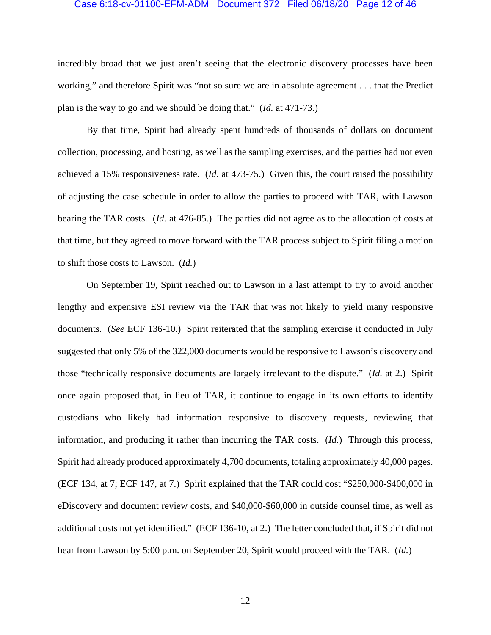#### Case 6:18-cv-01100-EFM-ADM Document 372 Filed 06/18/20 Page 12 of 46

incredibly broad that we just aren't seeing that the electronic discovery processes have been working," and therefore Spirit was "not so sure we are in absolute agreement . . . that the Predict plan is the way to go and we should be doing that." (*Id.* at 471-73.)

By that time, Spirit had already spent hundreds of thousands of dollars on document collection, processing, and hosting, as well as the sampling exercises, and the parties had not even achieved a 15% responsiveness rate. (*Id.* at 473-75.) Given this, the court raised the possibility of adjusting the case schedule in order to allow the parties to proceed with TAR, with Lawson bearing the TAR costs. (*Id.* at 476-85.) The parties did not agree as to the allocation of costs at that time, but they agreed to move forward with the TAR process subject to Spirit filing a motion to shift those costs to Lawson. (*Id.*)

On September 19, Spirit reached out to Lawson in a last attempt to try to avoid another lengthy and expensive ESI review via the TAR that was not likely to yield many responsive documents. (*See* ECF 136-10.) Spirit reiterated that the sampling exercise it conducted in July suggested that only 5% of the 322,000 documents would be responsive to Lawson's discovery and those "technically responsive documents are largely irrelevant to the dispute." (*Id.* at 2.) Spirit once again proposed that, in lieu of TAR, it continue to engage in its own efforts to identify custodians who likely had information responsive to discovery requests, reviewing that information, and producing it rather than incurring the TAR costs. (*Id.*) Through this process, Spirit had already produced approximately 4,700 documents, totaling approximately 40,000 pages. (ECF 134, at 7; ECF 147, at 7.) Spirit explained that the TAR could cost "\$250,000-\$400,000 in eDiscovery and document review costs, and \$40,000-\$60,000 in outside counsel time, as well as additional costs not yet identified." (ECF 136-10, at 2.) The letter concluded that, if Spirit did not hear from Lawson by 5:00 p.m. on September 20, Spirit would proceed with the TAR. (*Id.*)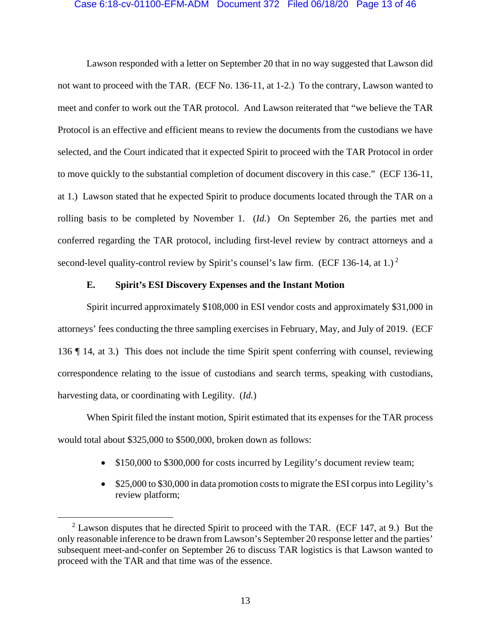## Case 6:18-cv-01100-EFM-ADM Document 372 Filed 06/18/20 Page 13 of 46

Lawson responded with a letter on September 20 that in no way suggested that Lawson did not want to proceed with the TAR. (ECF No. 136-11, at 1-2.) To the contrary, Lawson wanted to meet and confer to work out the TAR protocol. And Lawson reiterated that "we believe the TAR Protocol is an effective and efficient means to review the documents from the custodians we have selected, and the Court indicated that it expected Spirit to proceed with the TAR Protocol in order to move quickly to the substantial completion of document discovery in this case." (ECF 136-11, at 1.) Lawson stated that he expected Spirit to produce documents located through the TAR on a rolling basis to be completed by November 1. (*Id.*) On September 26, the parties met and conferred regarding the TAR protocol, including first-level review by contract attorneys and a second-level quality-control review by Spirit's counsel's law firm. (ECF 136-14, at 1.)<sup>2</sup>

## **E. Spirit's ESI Discovery Expenses and the Instant Motion**

Spirit incurred approximately \$108,000 in ESI vendor costs and approximately \$31,000 in attorneys' fees conducting the three sampling exercises in February, May, and July of 2019. (ECF 136 ¶ 14, at 3.) This does not include the time Spirit spent conferring with counsel, reviewing correspondence relating to the issue of custodians and search terms, speaking with custodians, harvesting data, or coordinating with Legility. (*Id.*)

When Spirit filed the instant motion, Spirit estimated that its expenses for the TAR process would total about \$325,000 to \$500,000, broken down as follows:

- \$150,000 to \$300,000 for costs incurred by Legility's document review team;
- \$25,000 to \$30,000 in data promotion costs to migrate the ESI corpus into Legility's review platform;

 <sup>2</sup>  $2$  Lawson disputes that he directed Spirit to proceed with the TAR. (ECF 147, at 9.) But the only reasonable inference to be drawn from Lawson's September 20 response letter and the parties' subsequent meet-and-confer on September 26 to discuss TAR logistics is that Lawson wanted to proceed with the TAR and that time was of the essence.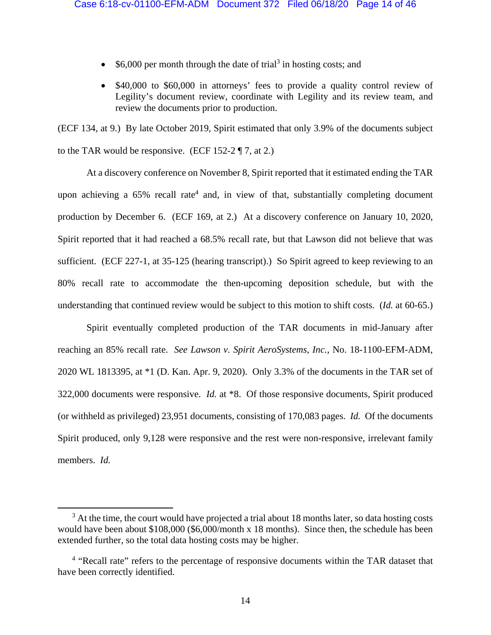- \$6,000 per month through the date of trial<sup>3</sup> in hosting costs; and
- \$40,000 to \$60,000 in attorneys' fees to provide a quality control review of Legility's document review, coordinate with Legility and its review team, and review the documents prior to production.

(ECF 134, at 9.) By late October 2019, Spirit estimated that only 3.9% of the documents subject to the TAR would be responsive. (ECF 152-2  $\P$  7, at 2.)

 At a discovery conference on November 8, Spirit reported that it estimated ending the TAR upon achieving a  $65\%$  recall rate<sup>4</sup> and, in view of that, substantially completing document production by December 6. (ECF 169, at 2.) At a discovery conference on January 10, 2020, Spirit reported that it had reached a 68.5% recall rate, but that Lawson did not believe that was sufficient. (ECF 227-1, at 35-125 (hearing transcript).) So Spirit agreed to keep reviewing to an 80% recall rate to accommodate the then-upcoming deposition schedule, but with the understanding that continued review would be subject to this motion to shift costs. (*Id.* at 60-65.)

Spirit eventually completed production of the TAR documents in mid-January after reaching an 85% recall rate. *See Lawson v. Spirit AeroSystems, Inc.*, No. 18-1100-EFM-ADM, 2020 WL 1813395, at \*1 (D. Kan. Apr. 9, 2020). Only 3.3% of the documents in the TAR set of 322,000 documents were responsive. *Id.* at \*8.Of those responsive documents, Spirit produced (or withheld as privileged) 23,951 documents, consisting of 170,083 pages. *Id.* Of the documents Spirit produced, only 9,128 were responsive and the rest were non-responsive, irrelevant family members. *Id.*

 $\overline{\phantom{0}}$  $3$  At the time, the court would have projected a trial about 18 months later, so data hosting costs would have been about \$108,000 (\$6,000/month x 18 months). Since then, the schedule has been extended further, so the total data hosting costs may be higher.

<sup>&</sup>lt;sup>4</sup> "Recall rate" refers to the percentage of responsive documents within the TAR dataset that have been correctly identified.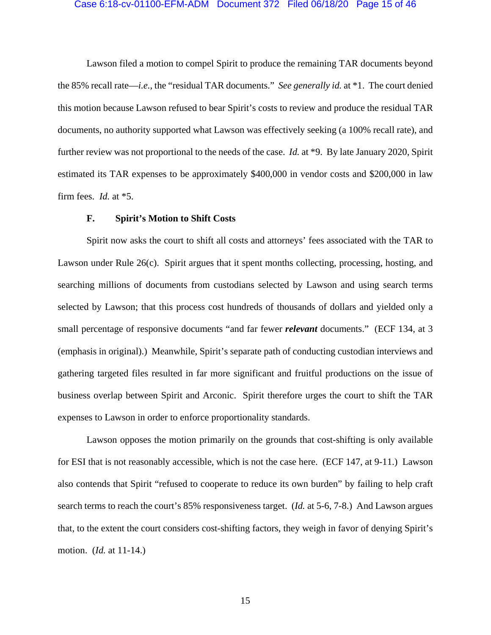#### Case 6:18-cv-01100-EFM-ADM Document 372 Filed 06/18/20 Page 15 of 46

Lawson filed a motion to compel Spirit to produce the remaining TAR documents beyond the 85% recall rate—*i.e.*, the "residual TAR documents." *See generally id.* at \*1. The court denied this motion because Lawson refused to bear Spirit's costs to review and produce the residual TAR documents, no authority supported what Lawson was effectively seeking (a 100% recall rate), and further review was not proportional to the needs of the case. *Id.* at \*9. By late January 2020, Spirit estimated its TAR expenses to be approximately \$400,000 in vendor costs and \$200,000 in law firm fees. *Id.* at \*5.

## **F. Spirit's Motion to Shift Costs**

Spirit now asks the court to shift all costs and attorneys' fees associated with the TAR to Lawson under Rule 26(c). Spirit argues that it spent months collecting, processing, hosting, and searching millions of documents from custodians selected by Lawson and using search terms selected by Lawson; that this process cost hundreds of thousands of dollars and yielded only a small percentage of responsive documents "and far fewer *relevant* documents." (ECF 134, at 3 (emphasis in original).) Meanwhile, Spirit's separate path of conducting custodian interviews and gathering targeted files resulted in far more significant and fruitful productions on the issue of business overlap between Spirit and Arconic. Spirit therefore urges the court to shift the TAR expenses to Lawson in order to enforce proportionality standards.

Lawson opposes the motion primarily on the grounds that cost-shifting is only available for ESI that is not reasonably accessible, which is not the case here. (ECF 147, at 9-11.) Lawson also contends that Spirit "refused to cooperate to reduce its own burden" by failing to help craft search terms to reach the court's 85% responsiveness target. (*Id.* at 5-6, 7-8.) And Lawson argues that, to the extent the court considers cost-shifting factors, they weigh in favor of denying Spirit's motion. (*Id.* at 11-14.)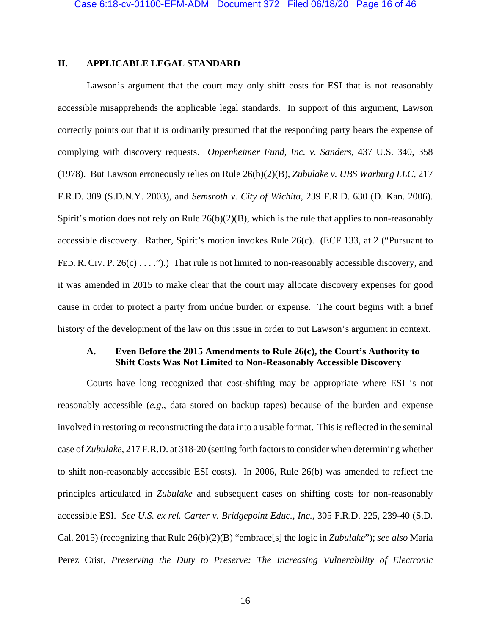# **II. APPLICABLE LEGAL STANDARD**

Lawson's argument that the court may only shift costs for ESI that is not reasonably accessible misapprehends the applicable legal standards. In support of this argument, Lawson correctly points out that it is ordinarily presumed that the responding party bears the expense of complying with discovery requests. *Oppenheimer Fund, Inc. v. Sanders*, 437 U.S. 340, 358 (1978). But Lawson erroneously relies on Rule 26(b)(2)(B), *Zubulake v. UBS Warburg LLC*, 217 F.R.D. 309 (S.D.N.Y. 2003), and *Semsroth v. City of Wichita*, 239 F.R.D. 630 (D. Kan. 2006). Spirit's motion does not rely on Rule  $26(b)(2)(B)$ , which is the rule that applies to non-reasonably accessible discovery. Rather, Spirit's motion invokes Rule 26(c). (ECF 133, at 2 ("Pursuant to FED. R. CIV. P. 26(c) . . . .").) That rule is not limited to non-reasonably accessible discovery, and it was amended in 2015 to make clear that the court may allocate discovery expenses for good cause in order to protect a party from undue burden or expense. The court begins with a brief history of the development of the law on this issue in order to put Lawson's argument in context.

# **A. Even Before the 2015 Amendments to Rule 26(c), the Court's Authority to Shift Costs Was Not Limited to Non-Reasonably Accessible Discovery**

Courts have long recognized that cost-shifting may be appropriate where ESI is not reasonably accessible (*e.g.*, data stored on backup tapes) because of the burden and expense involved in restoring or reconstructing the data into a usable format. This is reflected in the seminal case of *Zubulake*, 217 F.R.D. at 318-20 (setting forth factors to consider when determining whether to shift non-reasonably accessible ESI costs). In 2006, Rule 26(b) was amended to reflect the principles articulated in *Zubulake* and subsequent cases on shifting costs for non-reasonably accessible ESI. *See U.S. ex rel. Carter v. Bridgepoint Educ., Inc.*, 305 F.R.D. 225, 239-40 (S.D. Cal. 2015) (recognizing that Rule 26(b)(2)(B) "embrace[s] the logic in *Zubulake*"); *see also* Maria Perez Crist, *Preserving the Duty to Preserve: The Increasing Vulnerability of Electronic*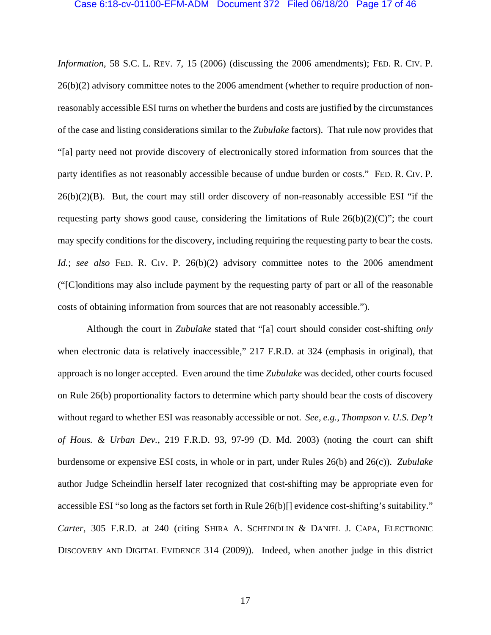### Case 6:18-cv-01100-EFM-ADM Document 372 Filed 06/18/20 Page 17 of 46

*Information*, 58 S.C. L. REV. 7, 15 (2006) (discussing the 2006 amendments); FED. R. CIV. P. 26(b)(2) advisory committee notes to the 2006 amendment (whether to require production of nonreasonably accessible ESI turns on whether the burdens and costs are justified by the circumstances of the case and listing considerations similar to the *Zubulake* factors). That rule now provides that "[a] party need not provide discovery of electronically stored information from sources that the party identifies as not reasonably accessible because of undue burden or costs." FED. R. CIV. P.  $26(b)(2)(B)$ . But, the court may still order discovery of non-reasonably accessible ESI "if the requesting party shows good cause, considering the limitations of Rule  $26(b)(2)(C)$ "; the court may specify conditions for the discovery, including requiring the requesting party to bear the costs. *Id.*; *see also* FED. R. CIV. P. 26(b)(2) advisory committee notes to the 2006 amendment ("[C]onditions may also include payment by the requesting party of part or all of the reasonable costs of obtaining information from sources that are not reasonably accessible.").

Although the court in *Zubulake* stated that "[a] court should consider cost-shifting *only* when electronic data is relatively inaccessible," 217 F.R.D. at 324 (emphasis in original), that approach is no longer accepted. Even around the time *Zubulake* was decided, other courts focused on Rule 26(b) proportionality factors to determine which party should bear the costs of discovery without regard to whether ESI was reasonably accessible or not. *See, e.g.*, *Thompson v. U.S. Dep't of Hous. & Urban Dev.*, 219 F.R.D. 93, 97-99 (D. Md. 2003) (noting the court can shift burdensome or expensive ESI costs, in whole or in part, under Rules 26(b) and 26(c)). *Zubulake* author Judge Scheindlin herself later recognized that cost-shifting may be appropriate even for accessible ESI "so long as the factors set forth in Rule 26(b)[] evidence cost-shifting's suitability." *Carter*, 305 F.R.D. at 240 (citing SHIRA A. SCHEINDLIN & DANIEL J. CAPA, ELECTRONIC DISCOVERY AND DIGITAL EVIDENCE 314 (2009)). Indeed, when another judge in this district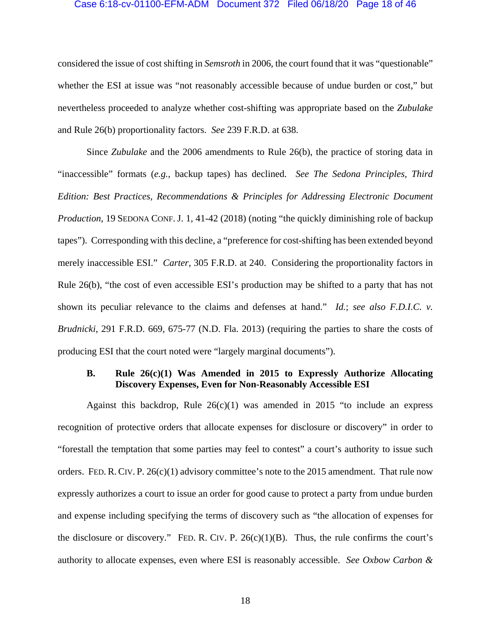## Case 6:18-cv-01100-EFM-ADM Document 372 Filed 06/18/20 Page 18 of 46

considered the issue of cost shifting in *Semsroth* in 2006, the court found that it was "questionable" whether the ESI at issue was "not reasonably accessible because of undue burden or cost," but nevertheless proceeded to analyze whether cost-shifting was appropriate based on the *Zubulake*  and Rule 26(b) proportionality factors. *See* 239 F.R.D. at 638.

Since *Zubulake* and the 2006 amendments to Rule 26(b), the practice of storing data in "inaccessible" formats (*e.g.*, backup tapes) has declined. *See The Sedona Principles, Third Edition: Best Practices, Recommendations & Principles for Addressing Electronic Document Production*, 19 SEDONA CONF. J. 1, 41-42 (2018) (noting "the quickly diminishing role of backup tapes"). Corresponding with this decline, a "preference for cost-shifting has been extended beyond merely inaccessible ESI." *Carter*, 305 F.R.D. at 240. Considering the proportionality factors in Rule 26(b), "the cost of even accessible ESI's production may be shifted to a party that has not shown its peculiar relevance to the claims and defenses at hand." *Id.*; *see also F.D.I.C. v. Brudnicki*, 291 F.R.D. 669, 675-77 (N.D. Fla. 2013) (requiring the parties to share the costs of producing ESI that the court noted were "largely marginal documents").

# **B. Rule 26(c)(1) Was Amended in 2015 to Expressly Authorize Allocating Discovery Expenses, Even for Non-Reasonably Accessible ESI**

Against this backdrop, Rule  $26(c)(1)$  was amended in 2015 "to include an express recognition of protective orders that allocate expenses for disclosure or discovery" in order to "forestall the temptation that some parties may feel to contest" a court's authority to issue such orders. FED. R. CIV. P. 26(c)(1) advisory committee's note to the 2015 amendment. That rule now expressly authorizes a court to issue an order for good cause to protect a party from undue burden and expense including specifying the terms of discovery such as "the allocation of expenses for the disclosure or discovery." FED. R. CIV. P.  $26(c)(1)(B)$ . Thus, the rule confirms the court's authority to allocate expenses, even where ESI is reasonably accessible. *See Oxbow Carbon &*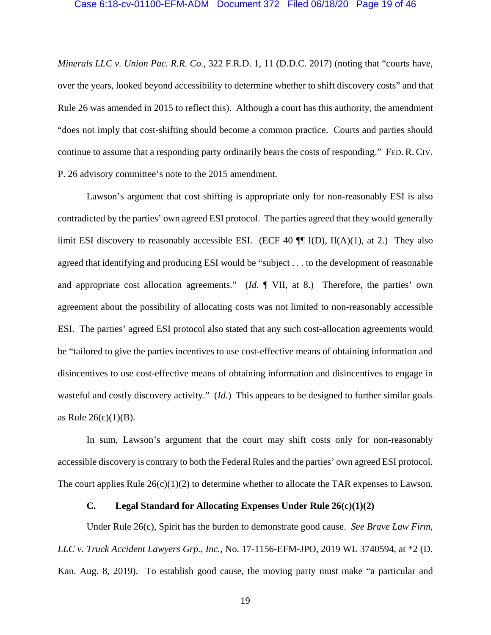*Minerals LLC v. Union Pac. R.R. Co.*, 322 F.R.D. 1, 11 (D.D.C. 2017) (noting that "courts have, over the years, looked beyond accessibility to determine whether to shift discovery costs" and that Rule 26 was amended in 2015 to reflect this). Although a court has this authority, the amendment "does not imply that cost-shifting should become a common practice. Courts and parties should continue to assume that a responding party ordinarily bears the costs of responding." FED. R. CIV. P. 26 advisory committee's note to the 2015 amendment.

Lawson's argument that cost shifting is appropriate only for non-reasonably ESI is also contradicted by the parties' own agreed ESI protocol. The parties agreed that they would generally limit ESI discovery to reasonably accessible ESI. (ECF 40  $\P$  $\P$ I(D), II(A)(1), at 2.) They also agreed that identifying and producing ESI would be "subject . . . to the development of reasonable and appropriate cost allocation agreements." (*Id.* ¶ VII, at 8.) Therefore, the parties' own agreement about the possibility of allocating costs was not limited to non-reasonably accessible ESI. The parties' agreed ESI protocol also stated that any such cost-allocation agreements would be "tailored to give the parties incentives to use cost-effective means of obtaining information and disincentives to use cost-effective means of obtaining information and disincentives to engage in wasteful and costly discovery activity." (*Id.*) This appears to be designed to further similar goals as Rule  $26(c)(1)(B)$ .

In sum, Lawson's argument that the court may shift costs only for non-reasonably accessible discovery is contrary to both the Federal Rules and the parties' own agreed ESI protocol. The court applies Rule  $26(c)(1)(2)$  to determine whether to allocate the TAR expenses to Lawson.

# **C. Legal Standard for Allocating Expenses Under Rule 26(c)(1)(2)**

Under Rule 26(c), Spirit has the burden to demonstrate good cause. *See Brave Law Firm, LLC v. Truck Accident Lawyers Grp., Inc.*, No. 17-1156-EFM-JPO, 2019 WL 3740594, at \*2 (D. Kan. Aug. 8, 2019). To establish good cause, the moving party must make "a particular and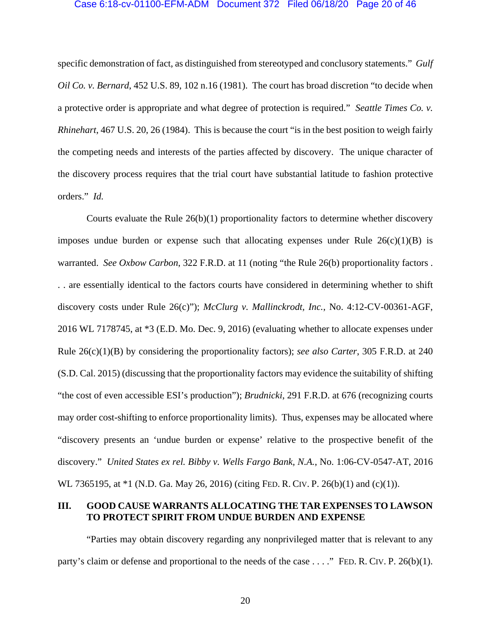### Case 6:18-cv-01100-EFM-ADM Document 372 Filed 06/18/20 Page 20 of 46

specific demonstration of fact, as distinguished from stereotyped and conclusory statements." *Gulf Oil Co. v. Bernard*, 452 U.S. 89, 102 n.16 (1981). The court has broad discretion "to decide when a protective order is appropriate and what degree of protection is required." *Seattle Times Co. v. Rhinehart*, 467 U.S. 20, 26 (1984). This is because the court "is in the best position to weigh fairly the competing needs and interests of the parties affected by discovery. The unique character of the discovery process requires that the trial court have substantial latitude to fashion protective orders." *Id.*

Courts evaluate the Rule 26(b)(1) proportionality factors to determine whether discovery imposes undue burden or expense such that allocating expenses under Rule  $26(c)(1)(B)$  is warranted. *See Oxbow Carbon*, 322 F.R.D. at 11 (noting "the Rule 26(b) proportionality factors . . . are essentially identical to the factors courts have considered in determining whether to shift discovery costs under Rule 26(c)"); *McClurg v. Mallinckrodt, Inc.*, No. 4:12-CV-00361-AGF, 2016 WL 7178745, at \*3 (E.D. Mo. Dec. 9, 2016) (evaluating whether to allocate expenses under Rule 26(c)(1)(B) by considering the proportionality factors); *see also Carter*, 305 F.R.D. at 240 (S.D. Cal. 2015) (discussing that the proportionality factors may evidence the suitability of shifting "the cost of even accessible ESI's production"); *Brudnicki*, 291 F.R.D. at 676 (recognizing courts may order cost-shifting to enforce proportionality limits). Thus, expenses may be allocated where "discovery presents an 'undue burden or expense' relative to the prospective benefit of the discovery." *United States ex rel. Bibby v. Wells Fargo Bank, N.A.*, No. 1:06-CV-0547-AT, 2016 WL 7365195, at \*1 (N.D. Ga. May 26, 2016) (citing FED. R. CIV. P. 26(b)(1) and (c)(1)).

# **III. GOOD CAUSE WARRANTS ALLOCATING THE TAR EXPENSES TO LAWSON TO PROTECT SPIRIT FROM UNDUE BURDEN AND EXPENSE**

"Parties may obtain discovery regarding any nonprivileged matter that is relevant to any party's claim or defense and proportional to the needs of the case . . . ." FED. R. CIV. P. 26(b)(1).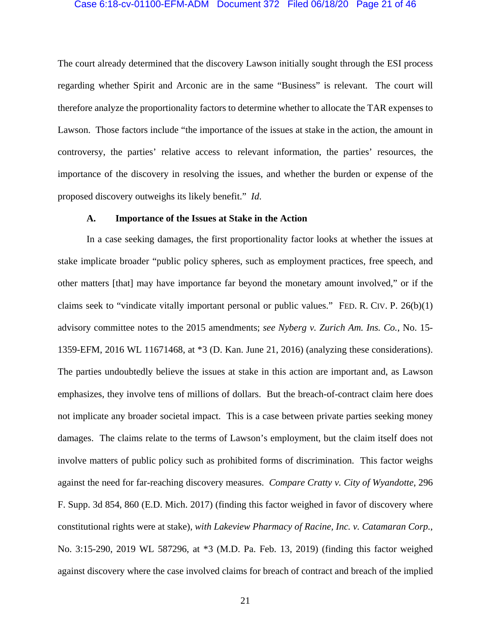### Case 6:18-cv-01100-EFM-ADM Document 372 Filed 06/18/20 Page 21 of 46

The court already determined that the discovery Lawson initially sought through the ESI process regarding whether Spirit and Arconic are in the same "Business" is relevant. The court will therefore analyze the proportionality factors to determine whether to allocate the TAR expenses to Lawson. Those factors include "the importance of the issues at stake in the action, the amount in controversy, the parties' relative access to relevant information, the parties' resources, the importance of the discovery in resolving the issues, and whether the burden or expense of the proposed discovery outweighs its likely benefit." *Id*.

## **A. Importance of the Issues at Stake in the Action**

In a case seeking damages, the first proportionality factor looks at whether the issues at stake implicate broader "public policy spheres, such as employment practices, free speech, and other matters [that] may have importance far beyond the monetary amount involved," or if the claims seek to "vindicate vitally important personal or public values." FED. R. CIV. P. 26(b)(1) advisory committee notes to the 2015 amendments; *see Nyberg v. Zurich Am. Ins. Co.*, No. 15- 1359-EFM, 2016 WL 11671468, at \*3 (D. Kan. June 21, 2016) (analyzing these considerations). The parties undoubtedly believe the issues at stake in this action are important and, as Lawson emphasizes, they involve tens of millions of dollars. But the breach-of-contract claim here does not implicate any broader societal impact. This is a case between private parties seeking money damages. The claims relate to the terms of Lawson's employment, but the claim itself does not involve matters of public policy such as prohibited forms of discrimination. This factor weighs against the need for far-reaching discovery measures. *Compare Cratty v. City of Wyandotte*, 296 F. Supp. 3d 854, 860 (E.D. Mich. 2017) (finding this factor weighed in favor of discovery where constitutional rights were at stake), *with Lakeview Pharmacy of Racine, Inc. v. Catamaran Corp.*, No. 3:15-290, 2019 WL 587296, at \*3 (M.D. Pa. Feb. 13, 2019) (finding this factor weighed against discovery where the case involved claims for breach of contract and breach of the implied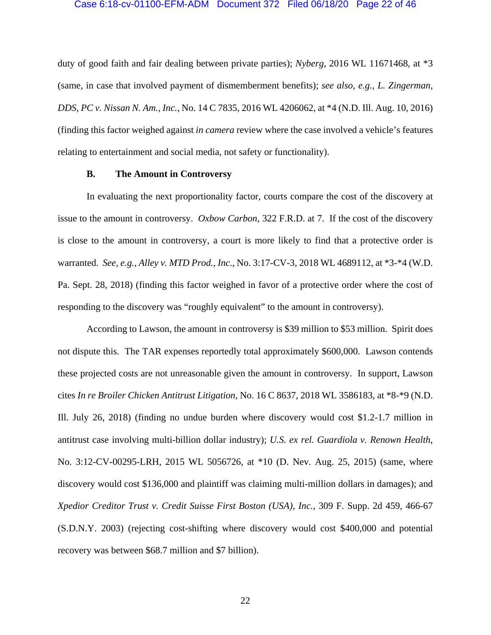### Case 6:18-cv-01100-EFM-ADM Document 372 Filed 06/18/20 Page 22 of 46

duty of good faith and fair dealing between private parties); *Nyberg*, 2016 WL 11671468, at \*3 (same, in case that involved payment of dismemberment benefits); *see also, e.g.*, *L. Zingerman, DDS, PC v. Nissan N. Am., Inc.*, No. 14 C 7835, 2016 WL 4206062, at \*4 (N.D. Ill. Aug. 10, 2016) (finding this factor weighed against *in camera* review where the case involved a vehicle's features relating to entertainment and social media, not safety or functionality).

## **B. The Amount in Controversy**

In evaluating the next proportionality factor, courts compare the cost of the discovery at issue to the amount in controversy. *Oxbow Carbon*, 322 F.R.D. at 7. If the cost of the discovery is close to the amount in controversy, a court is more likely to find that a protective order is warranted. *See, e.g.*, *Alley v. MTD Prod., Inc.*, No. 3:17-CV-3, 2018 WL 4689112, at \*3-\*4 (W.D. Pa. Sept. 28, 2018) (finding this factor weighed in favor of a protective order where the cost of responding to the discovery was "roughly equivalent" to the amount in controversy).

According to Lawson, the amount in controversy is \$39 million to \$53 million. Spirit does not dispute this. The TAR expenses reportedly total approximately \$600,000. Lawson contends these projected costs are not unreasonable given the amount in controversy. In support, Lawson cites *In re Broiler Chicken Antitrust Litigation*, No. 16 C 8637, 2018 WL 3586183, at \*8-\*9 (N.D. Ill. July 26, 2018) (finding no undue burden where discovery would cost \$1.2-1.7 million in antitrust case involving multi-billion dollar industry); *U.S. ex rel. Guardiola v. Renown Health*, No. 3:12-CV-00295-LRH, 2015 WL 5056726, at \*10 (D. Nev. Aug. 25, 2015) (same, where discovery would cost \$136,000 and plaintiff was claiming multi-million dollars in damages); and *Xpedior Creditor Trust v. Credit Suisse First Boston (USA), Inc.*, 309 F. Supp. 2d 459, 466-67 (S.D.N.Y. 2003) (rejecting cost-shifting where discovery would cost \$400,000 and potential recovery was between \$68.7 million and \$7 billion).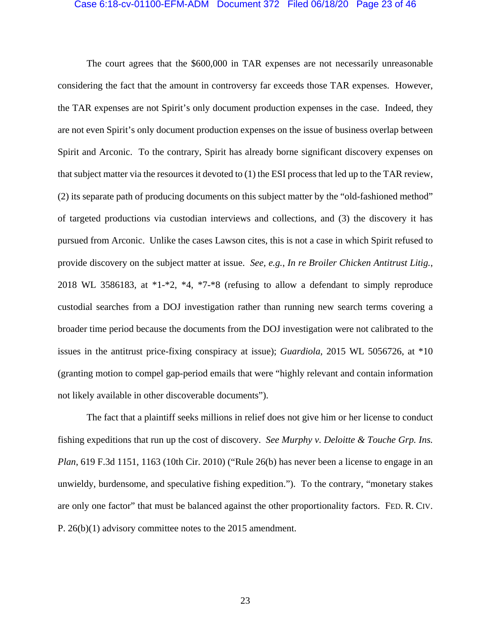#### Case 6:18-cv-01100-EFM-ADM Document 372 Filed 06/18/20 Page 23 of 46

The court agrees that the \$600,000 in TAR expenses are not necessarily unreasonable considering the fact that the amount in controversy far exceeds those TAR expenses. However, the TAR expenses are not Spirit's only document production expenses in the case. Indeed, they are not even Spirit's only document production expenses on the issue of business overlap between Spirit and Arconic. To the contrary, Spirit has already borne significant discovery expenses on that subject matter via the resources it devoted to (1) the ESI process that led up to the TAR review, (2) its separate path of producing documents on this subject matter by the "old-fashioned method" of targeted productions via custodian interviews and collections, and (3) the discovery it has pursued from Arconic. Unlike the cases Lawson cites, this is not a case in which Spirit refused to provide discovery on the subject matter at issue. *See, e.g.*, *In re Broiler Chicken Antitrust Litig.*, 2018 WL 3586183, at  $*1-*2$ ,  $*4$ ,  $*7-*8$  (refusing to allow a defendant to simply reproduce custodial searches from a DOJ investigation rather than running new search terms covering a broader time period because the documents from the DOJ investigation were not calibrated to the issues in the antitrust price-fixing conspiracy at issue); *Guardiola*, 2015 WL 5056726, at \*10 (granting motion to compel gap-period emails that were "highly relevant and contain information not likely available in other discoverable documents").

The fact that a plaintiff seeks millions in relief does not give him or her license to conduct fishing expeditions that run up the cost of discovery. *See Murphy v. Deloitte & Touche Grp. Ins. Plan*, 619 F.3d 1151, 1163 (10th Cir. 2010) ("Rule 26(b) has never been a license to engage in an unwieldy, burdensome, and speculative fishing expedition."). To the contrary, "monetary stakes are only one factor" that must be balanced against the other proportionality factors. FED. R. CIV. P. 26(b)(1) advisory committee notes to the 2015 amendment.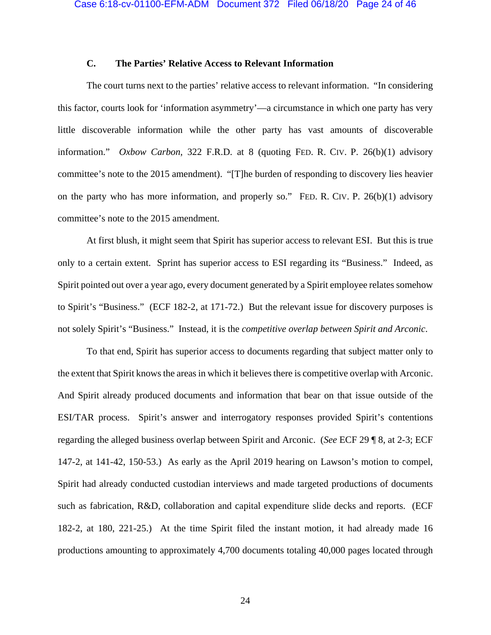# **C. The Parties' Relative Access to Relevant Information**

The court turns next to the parties' relative access to relevant information. "In considering this factor, courts look for 'information asymmetry'—a circumstance in which one party has very little discoverable information while the other party has vast amounts of discoverable information." *Oxbow Carbon*, 322 F.R.D. at 8 (quoting FED. R. CIV. P. 26(b)(1) advisory committee's note to the 2015 amendment). "[T]he burden of responding to discovery lies heavier on the party who has more information, and properly so." FED. R. CIV. P. 26(b)(1) advisory committee's note to the 2015 amendment.

At first blush, it might seem that Spirit has superior access to relevant ESI. But this is true only to a certain extent. Sprint has superior access to ESI regarding its "Business." Indeed, as Spirit pointed out over a year ago, every document generated by a Spirit employee relates somehow to Spirit's "Business." (ECF 182-2, at 171-72.) But the relevant issue for discovery purposes is not solely Spirit's "Business." Instead, it is the *competitive overlap between Spirit and Arconic*.

To that end, Spirit has superior access to documents regarding that subject matter only to the extent that Spirit knows the areas in which it believes there is competitive overlap with Arconic. And Spirit already produced documents and information that bear on that issue outside of the ESI/TAR process. Spirit's answer and interrogatory responses provided Spirit's contentions regarding the alleged business overlap between Spirit and Arconic. (*See* ECF 29 ¶ 8, at 2-3; ECF 147-2, at 141-42, 150-53.) As early as the April 2019 hearing on Lawson's motion to compel, Spirit had already conducted custodian interviews and made targeted productions of documents such as fabrication, R&D, collaboration and capital expenditure slide decks and reports. (ECF 182-2, at 180, 221-25.) At the time Spirit filed the instant motion, it had already made 16 productions amounting to approximately 4,700 documents totaling 40,000 pages located through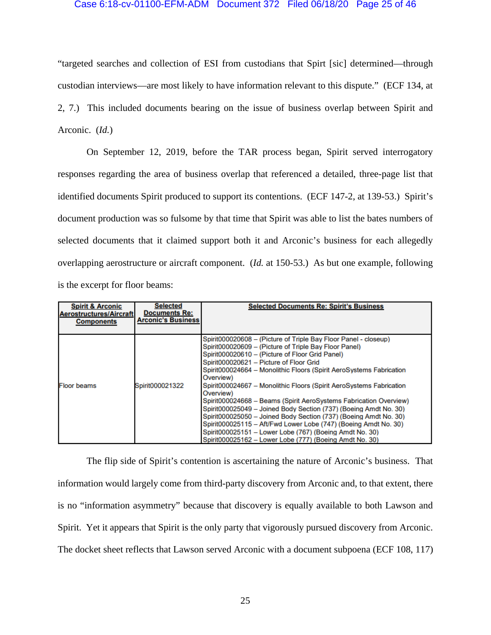## Case 6:18-cv-01100-EFM-ADM Document 372 Filed 06/18/20 Page 25 of 46

"targeted searches and collection of ESI from custodians that Spirt [sic] determined—through custodian interviews—are most likely to have information relevant to this dispute." (ECF 134, at 2, 7.) This included documents bearing on the issue of business overlap between Spirit and Arconic. (*Id.*)

On September 12, 2019, before the TAR process began, Spirit served interrogatory responses regarding the area of business overlap that referenced a detailed, three-page list that identified documents Spirit produced to support its contentions. (ECF 147-2, at 139-53.) Spirit's document production was so fulsome by that time that Spirit was able to list the bates numbers of selected documents that it claimed support both it and Arconic's business for each allegedly overlapping aerostructure or aircraft component. (*Id.* at 150-53.) As but one example, following is the excerpt for floor beams:

| <b>Spirit &amp; Arconic</b><br><b>Aerostructures/Aircraft</b><br><b>Components</b> | <b>Selected</b><br><b>Documents Re:</b><br><b>Arconic's Business</b> | <b>Selected Documents Re: Spirit's Business</b>                                                                                                                                                                                                                                                                                                                                                                                                                                                                                                                                                                                                                                                                                                                                                      |
|------------------------------------------------------------------------------------|----------------------------------------------------------------------|------------------------------------------------------------------------------------------------------------------------------------------------------------------------------------------------------------------------------------------------------------------------------------------------------------------------------------------------------------------------------------------------------------------------------------------------------------------------------------------------------------------------------------------------------------------------------------------------------------------------------------------------------------------------------------------------------------------------------------------------------------------------------------------------------|
| <b>Floor beams</b>                                                                 | Spirit000021322                                                      | Spirit000020608 - (Picture of Triple Bay Floor Panel - closeup)<br>Spirit000020609 - (Picture of Triple Bay Floor Panel)<br>Spirit000020610 - (Picture of Floor Grid Panel)<br>Spirit000020621 - Picture of Floor Grid<br>Spirit000024664 - Monolithic Floors (Spirit AeroSystems Fabrication<br>Overview)<br>Spirit000024667 - Monolithic Floors (Spirit AeroSystems Fabrication<br>Overview)<br>Spirit000024668 - Beams (Spirit AeroSystems Fabrication Overview)<br>Spirit000025049 - Joined Body Section (737) (Boeing Amdt No. 30)<br>Spirit000025050 - Joined Body Section (737) (Boeing Amdt No. 30)<br>Spirit000025115 - Aft/Fwd Lower Lobe (747) (Boeing Amdt No. 30)<br>Spirit000025151 - Lower Lobe (767) (Boeing Amdt No. 30)<br>Spirit000025162 - Lower Lobe (777) (Boeing Amdt No. 30) |

The flip side of Spirit's contention is ascertaining the nature of Arconic's business. That information would largely come from third-party discovery from Arconic and, to that extent, there is no "information asymmetry" because that discovery is equally available to both Lawson and Spirit. Yet it appears that Spirit is the only party that vigorously pursued discovery from Arconic. The docket sheet reflects that Lawson served Arconic with a document subpoena (ECF 108, 117)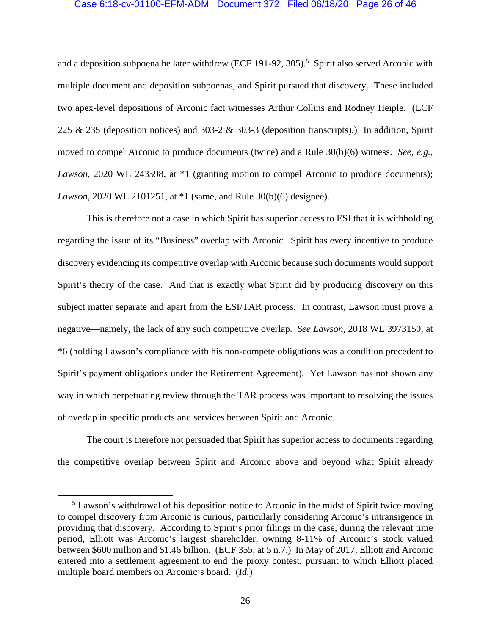## Case 6:18-cv-01100-EFM-ADM Document 372 Filed 06/18/20 Page 26 of 46

and a deposition subpoena he later withdrew (ECF 191-92, 305).<sup>5</sup> Spirit also served Arconic with multiple document and deposition subpoenas, and Spirit pursued that discovery. These included two apex-level depositions of Arconic fact witnesses Arthur Collins and Rodney Heiple. (ECF 225 & 235 (deposition notices) and 303-2 & 303-3 (deposition transcripts).) In addition, Spirit moved to compel Arconic to produce documents (twice) and a Rule 30(b)(6) witness. *See, e.g.*, *Lawson*, 2020 WL 243598, at \*1 (granting motion to compel Arconic to produce documents); *Lawson*, 2020 WL 2101251, at \*1 (same, and Rule 30(b)(6) designee).

This is therefore not a case in which Spirit has superior access to ESI that it is withholding regarding the issue of its "Business" overlap with Arconic. Spirit has every incentive to produce discovery evidencing its competitive overlap with Arconic because such documents would support Spirit's theory of the case. And that is exactly what Spirit did by producing discovery on this subject matter separate and apart from the ESI/TAR process. In contrast, Lawson must prove a negative—namely, the lack of any such competitive overlap. *See Lawson*, 2018 WL 3973150, at \*6 (holding Lawson's compliance with his non-compete obligations was a condition precedent to Spirit's payment obligations under the Retirement Agreement). Yet Lawson has not shown any way in which perpetuating review through the TAR process was important to resolving the issues of overlap in specific products and services between Spirit and Arconic.

The court is therefore not persuaded that Spirit has superior access to documents regarding the competitive overlap between Spirit and Arconic above and beyond what Spirit already

 $rac{1}{5}$ <sup>5</sup> Lawson's withdrawal of his deposition notice to Arconic in the midst of Spirit twice moving to compel discovery from Arconic is curious, particularly considering Arconic's intransigence in providing that discovery. According to Spirit's prior filings in the case, during the relevant time period, Elliott was Arconic's largest shareholder, owning 8-11% of Arconic's stock valued between \$600 million and \$1.46 billion. (ECF 355, at 5 n.7.) In May of 2017, Elliott and Arconic entered into a settlement agreement to end the proxy contest, pursuant to which Elliott placed multiple board members on Arconic's board. (*Id.*)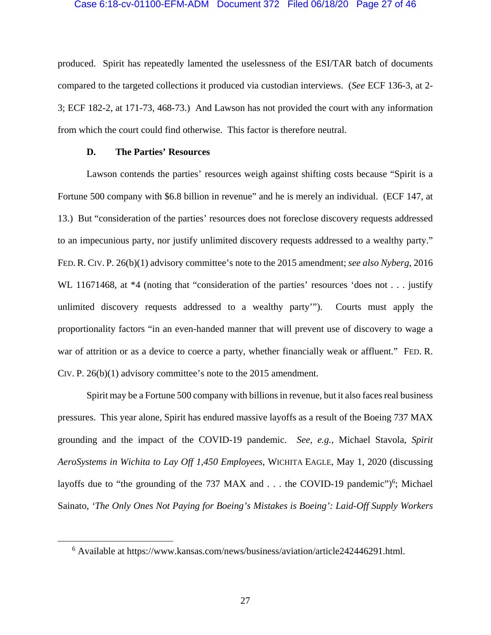### Case 6:18-cv-01100-EFM-ADM Document 372 Filed 06/18/20 Page 27 of 46

produced. Spirit has repeatedly lamented the uselessness of the ESI/TAR batch of documents compared to the targeted collections it produced via custodian interviews. (*See* ECF 136-3, at 2- 3; ECF 182-2, at 171-73, 468-73.) And Lawson has not provided the court with any information from which the court could find otherwise. This factor is therefore neutral.

## **D. The Parties' Resources**

Lawson contends the parties' resources weigh against shifting costs because "Spirit is a Fortune 500 company with \$6.8 billion in revenue" and he is merely an individual. (ECF 147, at 13.) But "consideration of the parties' resources does not foreclose discovery requests addressed to an impecunious party, nor justify unlimited discovery requests addressed to a wealthy party." FED. R. CIV. P. 26(b)(1) advisory committee's note to the 2015 amendment; *see also Nyberg*, 2016 WL 11671468, at \*4 (noting that "consideration of the parties' resources 'does not . . . justify unlimited discovery requests addressed to a wealthy party'").Courts must apply the proportionality factors "in an even-handed manner that will prevent use of discovery to wage a war of attrition or as a device to coerce a party, whether financially weak or affluent." FED. R. CIV. P. 26(b)(1) advisory committee's note to the 2015 amendment.

Spirit may be a Fortune 500 company with billions in revenue, but it also faces real business pressures. This year alone, Spirit has endured massive layoffs as a result of the Boeing 737 MAX grounding and the impact of the COVID-19 pandemic. *See, e.g.*, Michael Stavola, *Spirit AeroSystems in Wichita to Lay Off 1,450 Employees*, WICHITA EAGLE, May 1, 2020 (discussing layoffs due to "the grounding of the 737 MAX and  $\ldots$  the COVID-19 pandemic")<sup>6</sup>; Michael Sainato, *'The Only Ones Not Paying for Boeing's Mistakes is Boeing': Laid-Off Supply Workers* 

 $\overline{\phantom{0}}$ Available at https://www.kansas.com/news/business/aviation/article242446291.html.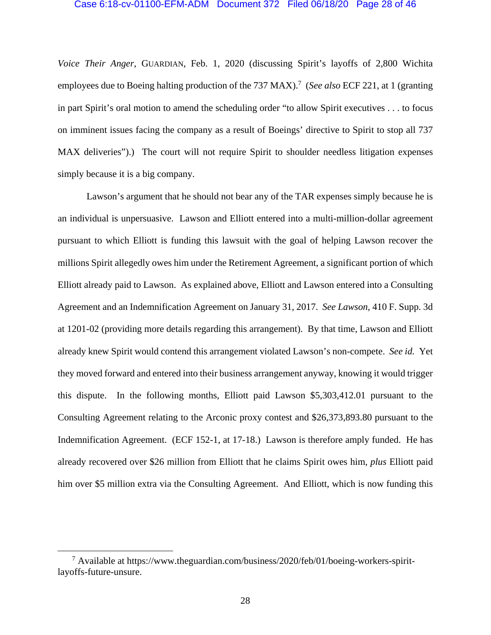#### Case 6:18-cv-01100-EFM-ADM Document 372 Filed 06/18/20 Page 28 of 46

*Voice Their Anger*, GUARDIAN, Feb. 1, 2020 (discussing Spirit's layoffs of 2,800 Wichita employees due to Boeing halting production of the 737 MAX).<sup>7</sup> (*See also* ECF 221, at 1 (granting in part Spirit's oral motion to amend the scheduling order "to allow Spirit executives . . . to focus on imminent issues facing the company as a result of Boeings' directive to Spirit to stop all 737 MAX deliveries").) The court will not require Spirit to shoulder needless litigation expenses simply because it is a big company.

Lawson's argument that he should not bear any of the TAR expenses simply because he is an individual is unpersuasive. Lawson and Elliott entered into a multi-million-dollar agreement pursuant to which Elliott is funding this lawsuit with the goal of helping Lawson recover the millions Spirit allegedly owes him under the Retirement Agreement, a significant portion of which Elliott already paid to Lawson. As explained above, Elliott and Lawson entered into a Consulting Agreement and an Indemnification Agreement on January 31, 2017. *See Lawson*, 410 F. Supp. 3d at 1201-02 (providing more details regarding this arrangement). By that time, Lawson and Elliott already knew Spirit would contend this arrangement violated Lawson's non-compete. *See id.* Yet they moved forward and entered into their business arrangement anyway, knowing it would trigger this dispute. In the following months, Elliott paid Lawson \$5,303,412.01 pursuant to the Consulting Agreement relating to the Arconic proxy contest and \$26,373,893.80 pursuant to the Indemnification Agreement. (ECF 152-1, at 17-18.) Lawson is therefore amply funded. He has already recovered over \$26 million from Elliott that he claims Spirit owes him, *plus* Elliott paid him over \$5 million extra via the Consulting Agreement. And Elliott, which is now funding this

 <sup>7</sup> Available at https://www.theguardian.com/business/2020/feb/01/boeing-workers-spiritlayoffs-future-unsure.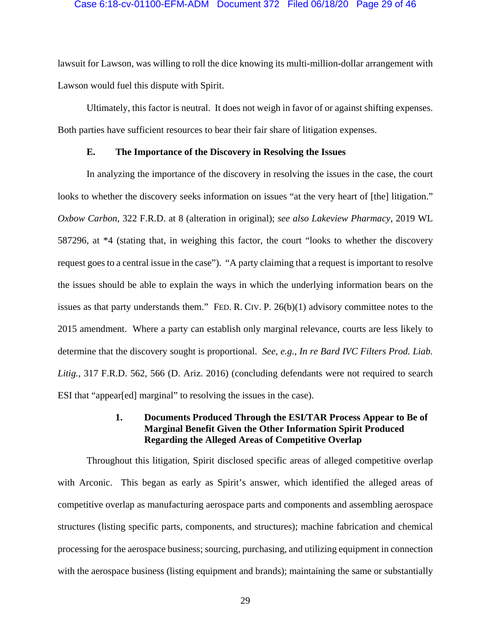## Case 6:18-cv-01100-EFM-ADM Document 372 Filed 06/18/20 Page 29 of 46

lawsuit for Lawson, was willing to roll the dice knowing its multi-million-dollar arrangement with Lawson would fuel this dispute with Spirit.

Ultimately, this factor is neutral. It does not weigh in favor of or against shifting expenses. Both parties have sufficient resources to bear their fair share of litigation expenses.

# **E. The Importance of the Discovery in Resolving the Issues**

In analyzing the importance of the discovery in resolving the issues in the case, the court looks to whether the discovery seeks information on issues "at the very heart of [the] litigation." *Oxbow Carbon*, 322 F.R.D. at 8 (alteration in original); *see also Lakeview Pharmacy*, 2019 WL 587296, at \*4 (stating that, in weighing this factor, the court "looks to whether the discovery request goes to a central issue in the case"). "A party claiming that a request is important to resolve the issues should be able to explain the ways in which the underlying information bears on the issues as that party understands them." FED. R. CIV. P. 26(b)(1) advisory committee notes to the 2015 amendment. Where a party can establish only marginal relevance, courts are less likely to determine that the discovery sought is proportional. *See, e.g.*, *In re Bard IVC Filters Prod. Liab. Litig.*, 317 F.R.D. 562, 566 (D. Ariz. 2016) (concluding defendants were not required to search ESI that "appear[ed] marginal" to resolving the issues in the case).

# **1. Documents Produced Through the ESI/TAR Process Appear to Be of Marginal Benefit Given the Other Information Spirit Produced Regarding the Alleged Areas of Competitive Overlap**

Throughout this litigation, Spirit disclosed specific areas of alleged competitive overlap with Arconic. This began as early as Spirit's answer, which identified the alleged areas of competitive overlap as manufacturing aerospace parts and components and assembling aerospace structures (listing specific parts, components, and structures); machine fabrication and chemical processing for the aerospace business; sourcing, purchasing, and utilizing equipment in connection with the aerospace business (listing equipment and brands); maintaining the same or substantially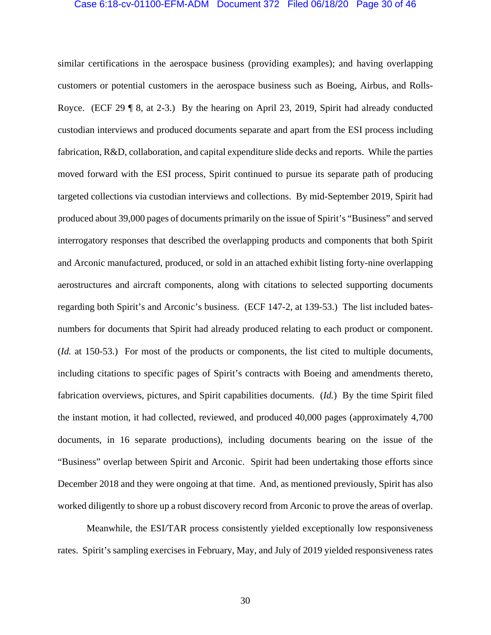## Case 6:18-cv-01100-EFM-ADM Document 372 Filed 06/18/20 Page 30 of 46

similar certifications in the aerospace business (providing examples); and having overlapping customers or potential customers in the aerospace business such as Boeing, Airbus, and Rolls-Royce. (ECF 29 ¶ 8, at 2-3.) By the hearing on April 23, 2019, Spirit had already conducted custodian interviews and produced documents separate and apart from the ESI process including fabrication, R&D, collaboration, and capital expenditure slide decks and reports. While the parties moved forward with the ESI process, Spirit continued to pursue its separate path of producing targeted collections via custodian interviews and collections. By mid-September 2019, Spirit had produced about 39,000 pages of documents primarily on the issue of Spirit's "Business" and served interrogatory responses that described the overlapping products and components that both Spirit and Arconic manufactured, produced, or sold in an attached exhibit listing forty-nine overlapping aerostructures and aircraft components, along with citations to selected supporting documents regarding both Spirit's and Arconic's business. (ECF 147-2, at 139-53.) The list included batesnumbers for documents that Spirit had already produced relating to each product or component. (*Id.* at 150-53.) For most of the products or components, the list cited to multiple documents, including citations to specific pages of Spirit's contracts with Boeing and amendments thereto, fabrication overviews, pictures, and Spirit capabilities documents. (*Id.*) By the time Spirit filed the instant motion, it had collected, reviewed, and produced 40,000 pages (approximately 4,700 documents, in 16 separate productions), including documents bearing on the issue of the "Business" overlap between Spirit and Arconic. Spirit had been undertaking those efforts since December 2018 and they were ongoing at that time. And, as mentioned previously, Spirit has also worked diligently to shore up a robust discovery record from Arconic to prove the areas of overlap.

 Meanwhile, the ESI/TAR process consistently yielded exceptionally low responsiveness rates. Spirit's sampling exercises in February, May, and July of 2019 yielded responsiveness rates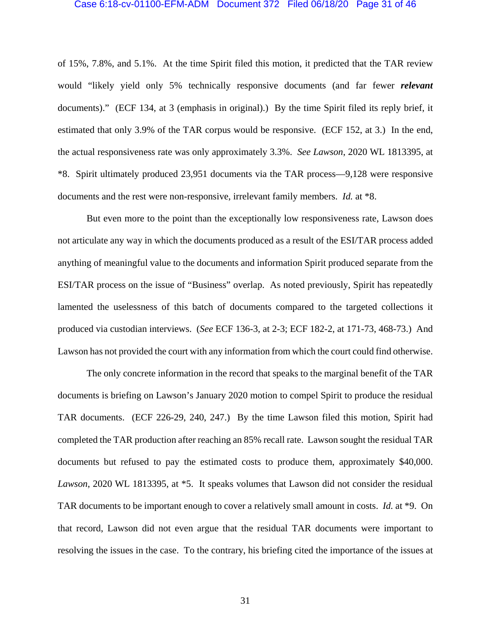#### Case 6:18-cv-01100-EFM-ADM Document 372 Filed 06/18/20 Page 31 of 46

of 15%, 7.8%, and 5.1%. At the time Spirit filed this motion, it predicted that the TAR review would "likely yield only 5% technically responsive documents (and far fewer *relevant* documents)." (ECF 134, at 3 (emphasis in original).) By the time Spirit filed its reply brief, it estimated that only 3.9% of the TAR corpus would be responsive. (ECF 152, at 3.) In the end, the actual responsiveness rate was only approximately 3.3%. *See Lawson*, 2020 WL 1813395, at \*8. Spirit ultimately produced 23,951 documents via the TAR process—9,128 were responsive documents and the rest were non-responsive, irrelevant family members. *Id.* at \*8.

 But even more to the point than the exceptionally low responsiveness rate, Lawson does not articulate any way in which the documents produced as a result of the ESI/TAR process added anything of meaningful value to the documents and information Spirit produced separate from the ESI/TAR process on the issue of "Business" overlap. As noted previously, Spirit has repeatedly lamented the uselessness of this batch of documents compared to the targeted collections it produced via custodian interviews. (*See* ECF 136-3, at 2-3; ECF 182-2, at 171-73, 468-73.) And Lawson has not provided the court with any information from which the court could find otherwise.

The only concrete information in the record that speaks to the marginal benefit of the TAR documents is briefing on Lawson's January 2020 motion to compel Spirit to produce the residual TAR documents. (ECF 226-29, 240, 247.) By the time Lawson filed this motion, Spirit had completed the TAR production after reaching an 85% recall rate. Lawson sought the residual TAR documents but refused to pay the estimated costs to produce them, approximately \$40,000. *Lawson*, 2020 WL 1813395, at \*5. It speaks volumes that Lawson did not consider the residual TAR documents to be important enough to cover a relatively small amount in costs. *Id.* at \*9. On that record, Lawson did not even argue that the residual TAR documents were important to resolving the issues in the case. To the contrary, his briefing cited the importance of the issues at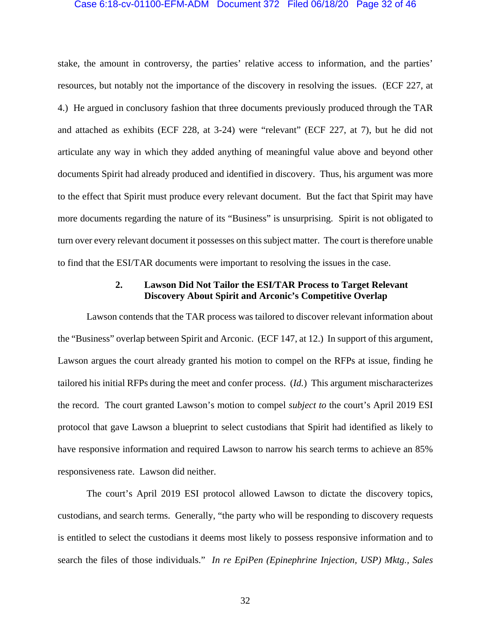### Case 6:18-cv-01100-EFM-ADM Document 372 Filed 06/18/20 Page 32 of 46

stake, the amount in controversy, the parties' relative access to information, and the parties' resources, but notably not the importance of the discovery in resolving the issues. (ECF 227, at 4.) He argued in conclusory fashion that three documents previously produced through the TAR and attached as exhibits (ECF 228, at 3-24) were "relevant" (ECF 227, at 7), but he did not articulate any way in which they added anything of meaningful value above and beyond other documents Spirit had already produced and identified in discovery. Thus, his argument was more to the effect that Spirit must produce every relevant document. But the fact that Spirit may have more documents regarding the nature of its "Business" is unsurprising. Spirit is not obligated to turn over every relevant document it possesses on this subject matter. The court is therefore unable to find that the ESI/TAR documents were important to resolving the issues in the case.

# **2. Lawson Did Not Tailor the ESI/TAR Process to Target Relevant Discovery About Spirit and Arconic's Competitive Overlap**

Lawson contends that the TAR process was tailored to discover relevant information about the "Business" overlap between Spirit and Arconic. (ECF 147, at 12.) In support of this argument, Lawson argues the court already granted his motion to compel on the RFPs at issue, finding he tailored his initial RFPs during the meet and confer process. (*Id.*) This argument mischaracterizes the record. The court granted Lawson's motion to compel *subject to* the court's April 2019 ESI protocol that gave Lawson a blueprint to select custodians that Spirit had identified as likely to have responsive information and required Lawson to narrow his search terms to achieve an 85% responsiveness rate. Lawson did neither.

The court's April 2019 ESI protocol allowed Lawson to dictate the discovery topics, custodians, and search terms. Generally, "the party who will be responding to discovery requests is entitled to select the custodians it deems most likely to possess responsive information and to search the files of those individuals." *In re EpiPen (Epinephrine Injection, USP) Mktg., Sales*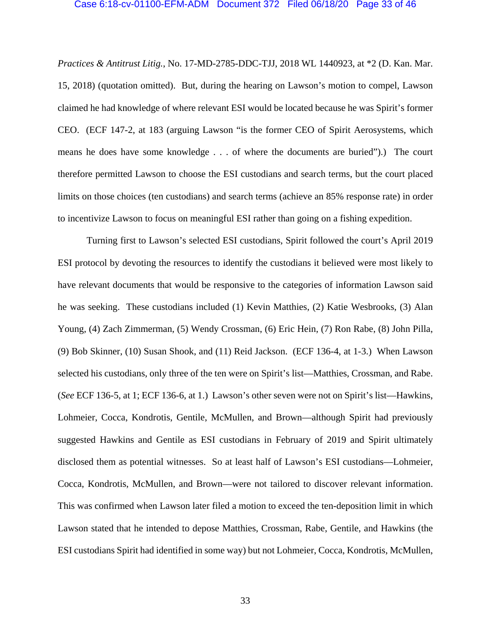### Case 6:18-cv-01100-EFM-ADM Document 372 Filed 06/18/20 Page 33 of 46

*Practices & Antitrust Litig.*, No. 17-MD-2785-DDC-TJJ, 2018 WL 1440923, at \*2 (D. Kan. Mar. 15, 2018) (quotation omitted). But, during the hearing on Lawson's motion to compel, Lawson claimed he had knowledge of where relevant ESI would be located because he was Spirit's former CEO. (ECF 147-2, at 183 (arguing Lawson "is the former CEO of Spirit Aerosystems, which means he does have some knowledge . . . of where the documents are buried").) The court therefore permitted Lawson to choose the ESI custodians and search terms, but the court placed limits on those choices (ten custodians) and search terms (achieve an 85% response rate) in order to incentivize Lawson to focus on meaningful ESI rather than going on a fishing expedition.

Turning first to Lawson's selected ESI custodians, Spirit followed the court's April 2019 ESI protocol by devoting the resources to identify the custodians it believed were most likely to have relevant documents that would be responsive to the categories of information Lawson said he was seeking. These custodians included (1) Kevin Matthies, (2) Katie Wesbrooks, (3) Alan Young, (4) Zach Zimmerman, (5) Wendy Crossman, (6) Eric Hein, (7) Ron Rabe, (8) John Pilla, (9) Bob Skinner, (10) Susan Shook, and (11) Reid Jackson. (ECF 136-4, at 1-3.) When Lawson selected his custodians, only three of the ten were on Spirit's list—Matthies, Crossman, and Rabe. (*See* ECF 136-5, at 1; ECF 136-6, at 1.) Lawson's other seven were not on Spirit's list—Hawkins, Lohmeier, Cocca, Kondrotis, Gentile, McMullen, and Brown—although Spirit had previously suggested Hawkins and Gentile as ESI custodians in February of 2019 and Spirit ultimately disclosed them as potential witnesses. So at least half of Lawson's ESI custodians—Lohmeier, Cocca, Kondrotis, McMullen, and Brown—were not tailored to discover relevant information. This was confirmed when Lawson later filed a motion to exceed the ten-deposition limit in which Lawson stated that he intended to depose Matthies, Crossman, Rabe, Gentile, and Hawkins (the ESI custodians Spirit had identified in some way) but not Lohmeier, Cocca, Kondrotis, McMullen,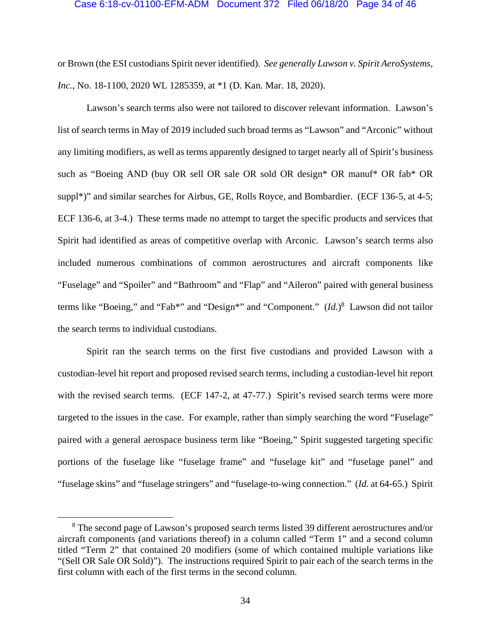### Case 6:18-cv-01100-EFM-ADM Document 372 Filed 06/18/20 Page 34 of 46

or Brown (the ESI custodians Spirit never identified). *See generally Lawson v. Spirit AeroSystems, Inc.*, No. 18-1100, 2020 WL 1285359, at \*1 (D. Kan. Mar. 18, 2020).

Lawson's search terms also were not tailored to discover relevant information. Lawson's list of search terms in May of 2019 included such broad terms as "Lawson" and "Arconic" without any limiting modifiers, as well as terms apparently designed to target nearly all of Spirit's business such as "Boeing AND (buy OR sell OR sale OR sold OR design\* OR manuf\* OR fab\* OR suppl<sup>\*</sup>)" and similar searches for Airbus, GE, Rolls Royce, and Bombardier. (ECF 136-5, at 4-5; ECF 136-6, at 3-4.) These terms made no attempt to target the specific products and services that Spirit had identified as areas of competitive overlap with Arconic. Lawson's search terms also included numerous combinations of common aerostructures and aircraft components like "Fuselage" and "Spoiler" and "Bathroom" and "Flap" and "Aileron" paired with general business terms like "Boeing," and "Fab\*" and "Design\*" and "Component."  $(Id.)^8$  Lawson did not tailor the search terms to individual custodians.

Spirit ran the search terms on the first five custodians and provided Lawson with a custodian-level hit report and proposed revised search terms, including a custodian-level hit report with the revised search terms. (ECF 147-2, at 47-77.) Spirit's revised search terms were more targeted to the issues in the case. For example, rather than simply searching the word "Fuselage" paired with a general aerospace business term like "Boeing," Spirit suggested targeting specific portions of the fuselage like "fuselage frame" and "fuselage kit" and "fuselage panel" and "fuselage skins" and "fuselage stringers" and "fuselage-to-wing connection." (*Id.* at 64-65.) Spirit

<sup>&</sup>lt;sup>8</sup> The second page of Lawson's proposed search terms listed 39 different aerostructures and/or aircraft components (and variations thereof) in a column called "Term 1" and a second column titled "Term 2" that contained 20 modifiers (some of which contained multiple variations like "(Sell OR Sale OR Sold)"). The instructions required Spirit to pair each of the search terms in the first column with each of the first terms in the second column.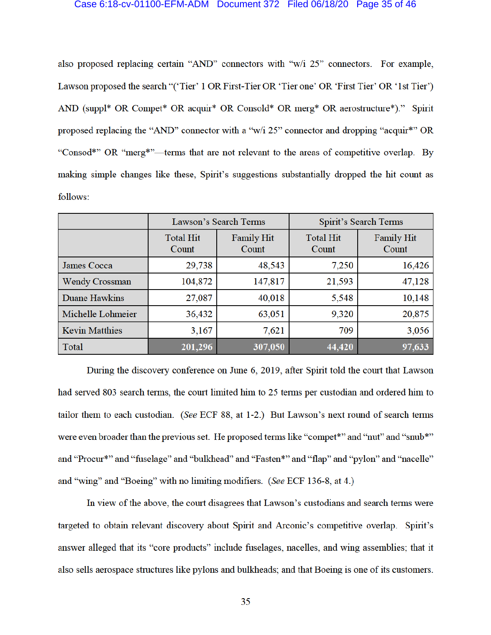#### Case 6:18-cv-01100-EFM-ADM Document 372 Filed 06/18/20 Page 35 of 46

also proposed replacing certain "AND" connectors with "w/i 25" connectors. For example, Lawson proposed the search "('Tier' 1 OR First-Tier OR 'Tier one' OR 'First Tier' OR '1st Tier') AND (suppl\* OR Compet\* OR acquir\* OR Consold\* OR merg\* OR aerostructure\*)." Spirit proposed replacing the "AND" connector with a "w/i 25" connector and dropping "acquir\*" OR "Consod\*" OR "merg\*"—terms that are not relevant to the areas of competitive overlap. By making simple changes like these, Spirit's suggestions substantially dropped the hit count as follows:

|                       | Lawson's Search Terms     |                            | <b>Spirit's Search Terms</b> |                            |
|-----------------------|---------------------------|----------------------------|------------------------------|----------------------------|
|                       | <b>Total Hit</b><br>Count | <b>Family Hit</b><br>Count | <b>Total Hit</b><br>Count    | <b>Family Hit</b><br>Count |
| <b>James Cocca</b>    | 29,738                    | 48,543                     | 7,250                        | 16,426                     |
| <b>Wendy Crossman</b> | 104,872                   | 147,817                    | 21,593                       | 47,128                     |
| <b>Duane Hawkins</b>  | 27,087                    | 40,018                     | 5,548                        | 10,148                     |
| Michelle Lohmeier     | 36,432                    | 63,051                     | 9,320                        | 20,875                     |
| <b>Kevin Matthies</b> | 3,167                     | 7,621                      | 709                          | 3,056                      |
| Total                 | 201,296                   | 307,050                    | 44,420                       | 97,633                     |

During the discovery conference on June 6, 2019, after Spirit told the court that Lawson had served 803 search terms, the court limited him to 25 terms per custodian and ordered him to tailor them to each custodian. (See ECF 88, at 1-2.) But Lawson's next round of search terms were even broader than the previous set. He proposed terms like "compet\*" and "nut" and "snub\*" and "Procur\*" and "fuselage" and "bulkhead" and "Fasten\*" and "flap" and "pylon" and "nacelle" and "wing" and "Boeing" with no limiting modifiers. (See ECF 136-8, at 4.)

In view of the above, the court disagrees that Lawson's custodians and search terms were targeted to obtain relevant discovery about Spirit and Arconic's competitive overlap. Spirit's answer alleged that its "core products" include fuselages, nacelles, and wing assemblies; that it also sells aerospace structures like pylons and bulkheads; and that Boeing is one of its customers.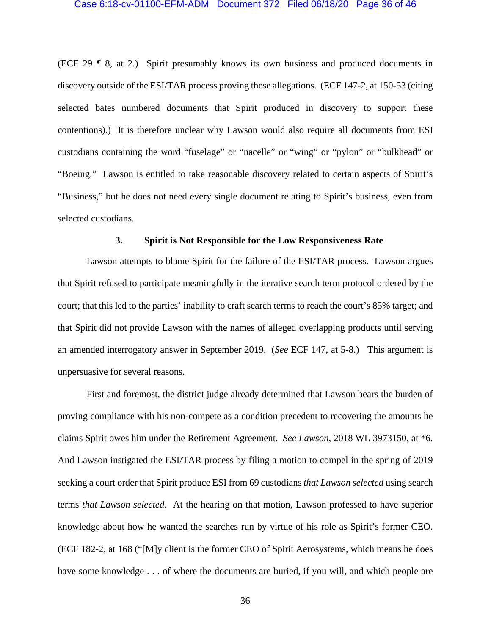### Case 6:18-cv-01100-EFM-ADM Document 372 Filed 06/18/20 Page 36 of 46

(ECF 29 ¶ 8, at 2.) Spirit presumably knows its own business and produced documents in discovery outside of the ESI/TAR process proving these allegations. (ECF 147-2, at 150-53 (citing selected bates numbered documents that Spirit produced in discovery to support these contentions).) It is therefore unclear why Lawson would also require all documents from ESI custodians containing the word "fuselage" or "nacelle" or "wing" or "pylon" or "bulkhead" or "Boeing." Lawson is entitled to take reasonable discovery related to certain aspects of Spirit's "Business," but he does not need every single document relating to Spirit's business, even from selected custodians.

## **3. Spirit is Not Responsible for the Low Responsiveness Rate**

Lawson attempts to blame Spirit for the failure of the ESI/TAR process. Lawson argues that Spirit refused to participate meaningfully in the iterative search term protocol ordered by the court; that this led to the parties' inability to craft search terms to reach the court's 85% target; and that Spirit did not provide Lawson with the names of alleged overlapping products until serving an amended interrogatory answer in September 2019. (*See* ECF 147, at 5-8.) This argument is unpersuasive for several reasons.

First and foremost, the district judge already determined that Lawson bears the burden of proving compliance with his non-compete as a condition precedent to recovering the amounts he claims Spirit owes him under the Retirement Agreement. *See Lawson*, 2018 WL 3973150, at \*6. And Lawson instigated the ESI/TAR process by filing a motion to compel in the spring of 2019 seeking a court order that Spirit produce ESI from 69 custodians *that Lawson selected* using search terms *that Lawson selected*. At the hearing on that motion, Lawson professed to have superior knowledge about how he wanted the searches run by virtue of his role as Spirit's former CEO. (ECF 182-2, at 168 ("[M]y client is the former CEO of Spirit Aerosystems, which means he does have some knowledge . . . of where the documents are buried, if you will, and which people are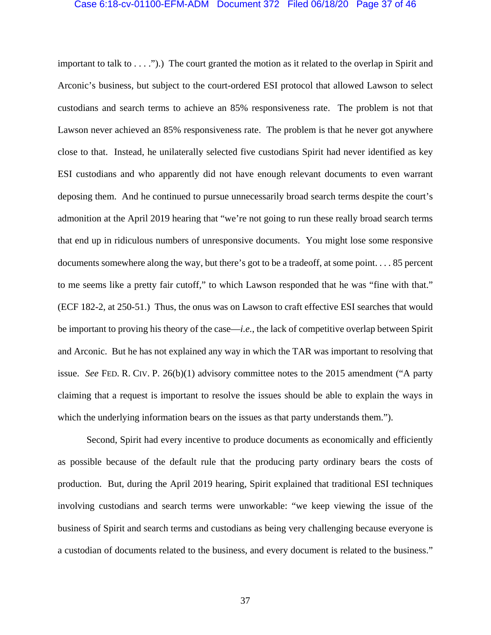## Case 6:18-cv-01100-EFM-ADM Document 372 Filed 06/18/20 Page 37 of 46

important to talk to . . . .").) The court granted the motion as it related to the overlap in Spirit and Arconic's business, but subject to the court-ordered ESI protocol that allowed Lawson to select custodians and search terms to achieve an 85% responsiveness rate. The problem is not that Lawson never achieved an 85% responsiveness rate. The problem is that he never got anywhere close to that. Instead, he unilaterally selected five custodians Spirit had never identified as key ESI custodians and who apparently did not have enough relevant documents to even warrant deposing them. And he continued to pursue unnecessarily broad search terms despite the court's admonition at the April 2019 hearing that "we're not going to run these really broad search terms that end up in ridiculous numbers of unresponsive documents. You might lose some responsive documents somewhere along the way, but there's got to be a tradeoff, at some point. . . . 85 percent to me seems like a pretty fair cutoff," to which Lawson responded that he was "fine with that." (ECF 182-2, at 250-51.) Thus, the onus was on Lawson to craft effective ESI searches that would be important to proving his theory of the case—*i.e.*, the lack of competitive overlap between Spirit and Arconic. But he has not explained any way in which the TAR was important to resolving that issue. *See* FED. R. CIV. P. 26(b)(1) advisory committee notes to the 2015 amendment ("A party claiming that a request is important to resolve the issues should be able to explain the ways in which the underlying information bears on the issues as that party understands them.").

Second, Spirit had every incentive to produce documents as economically and efficiently as possible because of the default rule that the producing party ordinary bears the costs of production. But, during the April 2019 hearing, Spirit explained that traditional ESI techniques involving custodians and search terms were unworkable: "we keep viewing the issue of the business of Spirit and search terms and custodians as being very challenging because everyone is a custodian of documents related to the business, and every document is related to the business."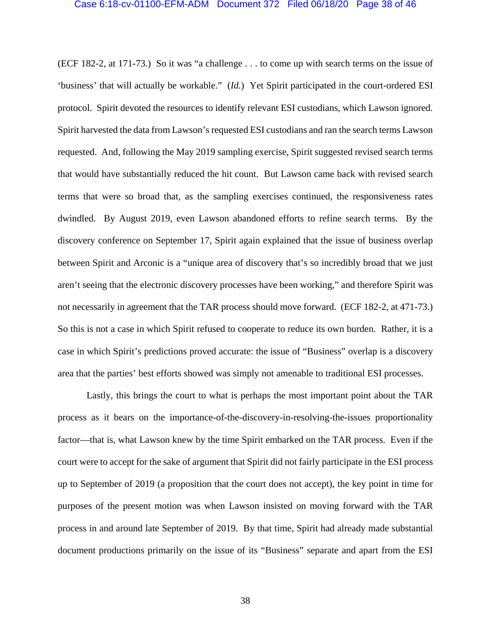## Case 6:18-cv-01100-EFM-ADM Document 372 Filed 06/18/20 Page 38 of 46

(ECF 182-2, at 171-73.) So it was "a challenge . . . to come up with search terms on the issue of 'business' that will actually be workable." (*Id.*) Yet Spirit participated in the court-ordered ESI protocol. Spirit devoted the resources to identify relevant ESI custodians, which Lawson ignored. Spirit harvested the data from Lawson's requested ESI custodians and ran the search terms Lawson requested. And, following the May 2019 sampling exercise, Spirit suggested revised search terms that would have substantially reduced the hit count. But Lawson came back with revised search terms that were so broad that, as the sampling exercises continued, the responsiveness rates dwindled. By August 2019, even Lawson abandoned efforts to refine search terms. By the discovery conference on September 17, Spirit again explained that the issue of business overlap between Spirit and Arconic is a "unique area of discovery that's so incredibly broad that we just aren't seeing that the electronic discovery processes have been working," and therefore Spirit was not necessarily in agreement that the TAR process should move forward. (ECF 182-2, at 471-73.) So this is not a case in which Spirit refused to cooperate to reduce its own burden. Rather, it is a case in which Spirit's predictions proved accurate: the issue of "Business" overlap is a discovery area that the parties' best efforts showed was simply not amenable to traditional ESI processes.

Lastly, this brings the court to what is perhaps the most important point about the TAR process as it bears on the importance-of-the-discovery-in-resolving-the-issues proportionality factor—that is, what Lawson knew by the time Spirit embarked on the TAR process. Even if the court were to accept for the sake of argument that Spirit did not fairly participate in the ESI process up to September of 2019 (a proposition that the court does not accept), the key point in time for purposes of the present motion was when Lawson insisted on moving forward with the TAR process in and around late September of 2019. By that time, Spirit had already made substantial document productions primarily on the issue of its "Business" separate and apart from the ESI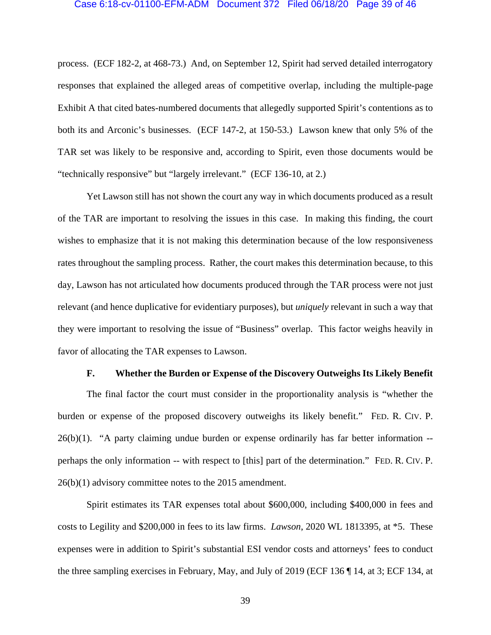#### Case 6:18-cv-01100-EFM-ADM Document 372 Filed 06/18/20 Page 39 of 46

process. (ECF 182-2, at 468-73.) And, on September 12, Spirit had served detailed interrogatory responses that explained the alleged areas of competitive overlap, including the multiple-page Exhibit A that cited bates-numbered documents that allegedly supported Spirit's contentions as to both its and Arconic's businesses. (ECF 147-2, at 150-53.) Lawson knew that only 5% of the TAR set was likely to be responsive and, according to Spirit, even those documents would be "technically responsive" but "largely irrelevant." (ECF 136-10, at 2.)

Yet Lawson still has not shown the court any way in which documents produced as a result of the TAR are important to resolving the issues in this case. In making this finding, the court wishes to emphasize that it is not making this determination because of the low responsiveness rates throughout the sampling process. Rather, the court makes this determination because, to this day, Lawson has not articulated how documents produced through the TAR process were not just relevant (and hence duplicative for evidentiary purposes), but *uniquely* relevant in such a way that they were important to resolving the issue of "Business" overlap. This factor weighs heavily in favor of allocating the TAR expenses to Lawson.

### **F. Whether the Burden or Expense of the Discovery Outweighs Its Likely Benefit**

The final factor the court must consider in the proportionality analysis is "whether the burden or expense of the proposed discovery outweighs its likely benefit." FED. R. CIV. P. 26(b)(1). "A party claiming undue burden or expense ordinarily has far better information - perhaps the only information -- with respect to [this] part of the determination." FED. R. CIV. P. 26(b)(1) advisory committee notes to the 2015 amendment.

Spirit estimates its TAR expenses total about \$600,000, including \$400,000 in fees and costs to Legility and \$200,000 in fees to its law firms. *Lawson*, 2020 WL 1813395, at \*5. These expenses were in addition to Spirit's substantial ESI vendor costs and attorneys' fees to conduct the three sampling exercises in February, May, and July of 2019 (ECF 136 ¶ 14, at 3; ECF 134, at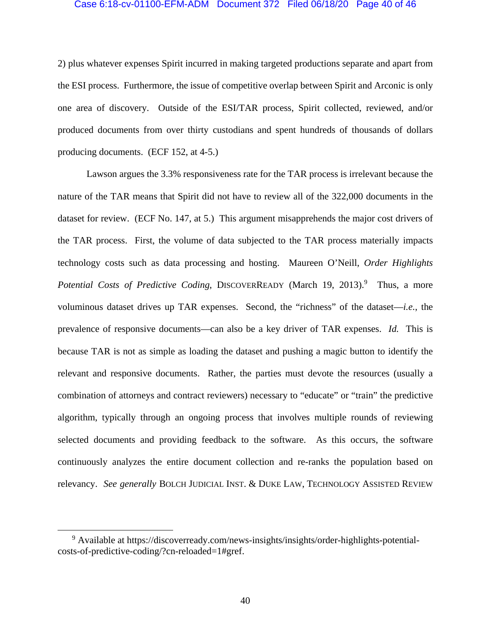## Case 6:18-cv-01100-EFM-ADM Document 372 Filed 06/18/20 Page 40 of 46

2) plus whatever expenses Spirit incurred in making targeted productions separate and apart from the ESI process. Furthermore, the issue of competitive overlap between Spirit and Arconic is only one area of discovery. Outside of the ESI/TAR process, Spirit collected, reviewed, and/or produced documents from over thirty custodians and spent hundreds of thousands of dollars producing documents. (ECF 152, at 4-5.)

Lawson argues the 3.3% responsiveness rate for the TAR process is irrelevant because the nature of the TAR means that Spirit did not have to review all of the 322,000 documents in the dataset for review. (ECF No. 147, at 5.) This argument misapprehends the major cost drivers of the TAR process. First, the volume of data subjected to the TAR process materially impacts technology costs such as data processing and hosting. Maureen O'Neill, *Order Highlights*  Potential Costs of Predictive Coding, DISCOVERREADY (March 19, 2013).<sup>9</sup> Thus, a more voluminous dataset drives up TAR expenses. Second, the "richness" of the dataset—*i.e.*, the prevalence of responsive documents—can also be a key driver of TAR expenses. *Id.* This is because TAR is not as simple as loading the dataset and pushing a magic button to identify the relevant and responsive documents. Rather, the parties must devote the resources (usually a combination of attorneys and contract reviewers) necessary to "educate" or "train" the predictive algorithm, typically through an ongoing process that involves multiple rounds of reviewing selected documents and providing feedback to the software. As this occurs, the software continuously analyzes the entire document collection and re-ranks the population based on relevancy. *See generally* BOLCH JUDICIAL INST. & DUKE LAW, TECHNOLOGY ASSISTED REVIEW

 <sup>9</sup> <sup>9</sup> Available at https://discoverready.com/news-insights/insights/order-highlights-potentialcosts-of-predictive-coding/?cn-reloaded=1#gref.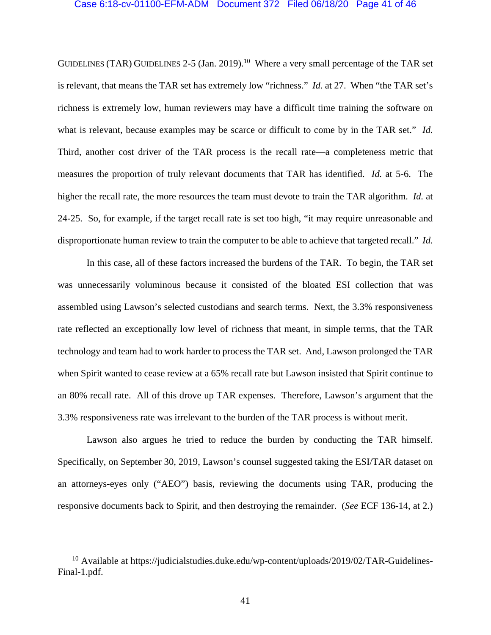#### Case 6:18-cv-01100-EFM-ADM Document 372 Filed 06/18/20 Page 41 of 46

GUIDELINES (TAR) GUIDELINES 2-5 (Jan. 2019).<sup>10</sup> Where a very small percentage of the TAR set is relevant, that means the TAR set has extremely low "richness." *Id.* at 27. When "the TAR set's richness is extremely low, human reviewers may have a difficult time training the software on what is relevant, because examples may be scarce or difficult to come by in the TAR set." *Id.* Third, another cost driver of the TAR process is the recall rate—a completeness metric that measures the proportion of truly relevant documents that TAR has identified. *Id.* at 5-6. The higher the recall rate, the more resources the team must devote to train the TAR algorithm. *Id.* at 24-25. So, for example, if the target recall rate is set too high, "it may require unreasonable and disproportionate human review to train the computer to be able to achieve that targeted recall." *Id.*

In this case, all of these factors increased the burdens of the TAR. To begin, the TAR set was unnecessarily voluminous because it consisted of the bloated ESI collection that was assembled using Lawson's selected custodians and search terms. Next, the 3.3% responsiveness rate reflected an exceptionally low level of richness that meant, in simple terms, that the TAR technology and team had to work harder to process the TAR set. And, Lawson prolonged the TAR when Spirit wanted to cease review at a 65% recall rate but Lawson insisted that Spirit continue to an 80% recall rate. All of this drove up TAR expenses. Therefore, Lawson's argument that the 3.3% responsiveness rate was irrelevant to the burden of the TAR process is without merit.

Lawson also argues he tried to reduce the burden by conducting the TAR himself. Specifically, on September 30, 2019, Lawson's counsel suggested taking the ESI/TAR dataset on an attorneys-eyes only ("AEO") basis, reviewing the documents using TAR, producing the responsive documents back to Spirit, and then destroying the remainder. (*See* ECF 136-14, at 2.)

<sup>&</sup>lt;sup>10</sup> Available at https://judicialstudies.duke.edu/wp-content/uploads/2019/02/TAR-Guidelines-Final-1.pdf.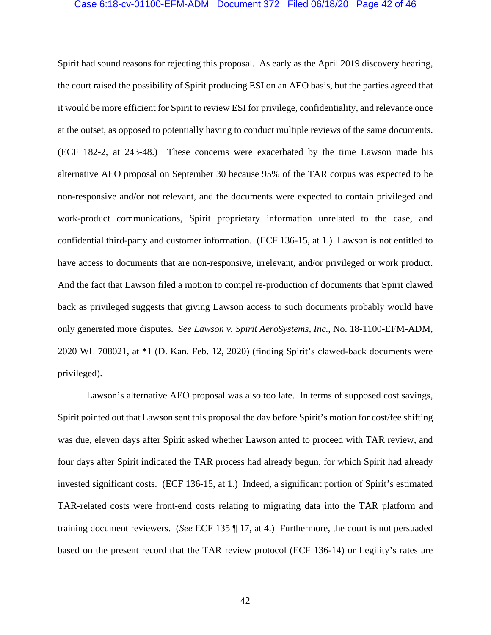### Case 6:18-cv-01100-EFM-ADM Document 372 Filed 06/18/20 Page 42 of 46

Spirit had sound reasons for rejecting this proposal. As early as the April 2019 discovery hearing, the court raised the possibility of Spirit producing ESI on an AEO basis, but the parties agreed that it would be more efficient for Spirit to review ESI for privilege, confidentiality, and relevance once at the outset, as opposed to potentially having to conduct multiple reviews of the same documents. (ECF 182-2, at 243-48.) These concerns were exacerbated by the time Lawson made his alternative AEO proposal on September 30 because 95% of the TAR corpus was expected to be non-responsive and/or not relevant, and the documents were expected to contain privileged and work-product communications, Spirit proprietary information unrelated to the case, and confidential third-party and customer information. (ECF 136-15, at 1.) Lawson is not entitled to have access to documents that are non-responsive, irrelevant, and/or privileged or work product. And the fact that Lawson filed a motion to compel re-production of documents that Spirit clawed back as privileged suggests that giving Lawson access to such documents probably would have only generated more disputes. *See Lawson v. Spirit AeroSystems, Inc.*, No. 18-1100-EFM-ADM, 2020 WL 708021, at \*1 (D. Kan. Feb. 12, 2020) (finding Spirit's clawed-back documents were privileged).

Lawson's alternative AEO proposal was also too late. In terms of supposed cost savings, Spirit pointed out that Lawson sent this proposal the day before Spirit's motion for cost/fee shifting was due, eleven days after Spirit asked whether Lawson anted to proceed with TAR review, and four days after Spirit indicated the TAR process had already begun, for which Spirit had already invested significant costs. (ECF 136-15, at 1.) Indeed, a significant portion of Spirit's estimated TAR-related costs were front-end costs relating to migrating data into the TAR platform and training document reviewers. (*See* ECF 135 ¶ 17, at 4.) Furthermore, the court is not persuaded based on the present record that the TAR review protocol (ECF 136-14) or Legility's rates are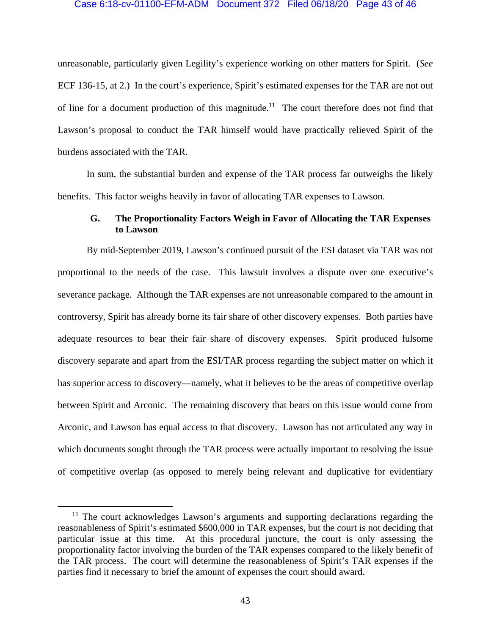### Case 6:18-cv-01100-EFM-ADM Document 372 Filed 06/18/20 Page 43 of 46

unreasonable, particularly given Legility's experience working on other matters for Spirit. (*See*  ECF 136-15, at 2.) In the court's experience, Spirit's estimated expenses for the TAR are not out of line for a document production of this magnitude.<sup>11</sup> The court therefore does not find that Lawson's proposal to conduct the TAR himself would have practically relieved Spirit of the burdens associated with the TAR.

In sum, the substantial burden and expense of the TAR process far outweighs the likely benefits. This factor weighs heavily in favor of allocating TAR expenses to Lawson.

# **G. The Proportionality Factors Weigh in Favor of Allocating the TAR Expenses to Lawson**

By mid-September 2019, Lawson's continued pursuit of the ESI dataset via TAR was not proportional to the needs of the case. This lawsuit involves a dispute over one executive's severance package. Although the TAR expenses are not unreasonable compared to the amount in controversy, Spirit has already borne its fair share of other discovery expenses. Both parties have adequate resources to bear their fair share of discovery expenses. Spirit produced fulsome discovery separate and apart from the ESI/TAR process regarding the subject matter on which it has superior access to discovery—namely, what it believes to be the areas of competitive overlap between Spirit and Arconic. The remaining discovery that bears on this issue would come from Arconic, and Lawson has equal access to that discovery. Lawson has not articulated any way in which documents sought through the TAR process were actually important to resolving the issue of competitive overlap (as opposed to merely being relevant and duplicative for evidentiary

<sup>&</sup>lt;sup>11</sup> The court acknowledges Lawson's arguments and supporting declarations regarding the reasonableness of Spirit's estimated \$600,000 in TAR expenses, but the court is not deciding that particular issue at this time. At this procedural juncture, the court is only assessing the proportionality factor involving the burden of the TAR expenses compared to the likely benefit of the TAR process. The court will determine the reasonableness of Spirit's TAR expenses if the parties find it necessary to brief the amount of expenses the court should award.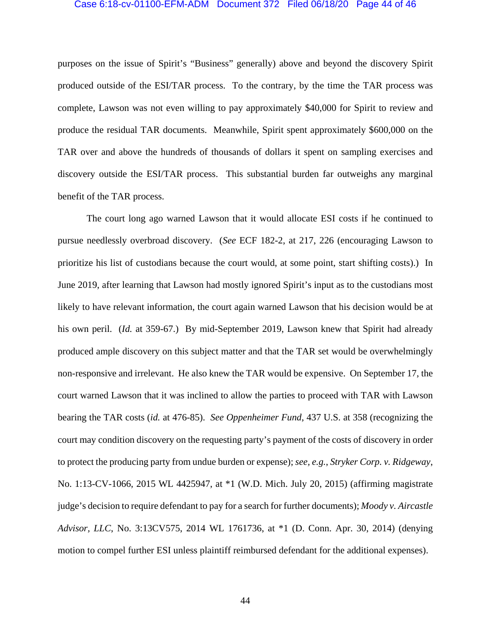#### Case 6:18-cv-01100-EFM-ADM Document 372 Filed 06/18/20 Page 44 of 46

purposes on the issue of Spirit's "Business" generally) above and beyond the discovery Spirit produced outside of the ESI/TAR process. To the contrary, by the time the TAR process was complete, Lawson was not even willing to pay approximately \$40,000 for Spirit to review and produce the residual TAR documents. Meanwhile, Spirit spent approximately \$600,000 on the TAR over and above the hundreds of thousands of dollars it spent on sampling exercises and discovery outside the ESI/TAR process. This substantial burden far outweighs any marginal benefit of the TAR process.

The court long ago warned Lawson that it would allocate ESI costs if he continued to pursue needlessly overbroad discovery. (*See* ECF 182-2, at 217, 226 (encouraging Lawson to prioritize his list of custodians because the court would, at some point, start shifting costs).) In June 2019, after learning that Lawson had mostly ignored Spirit's input as to the custodians most likely to have relevant information, the court again warned Lawson that his decision would be at his own peril. (*Id.* at 359-67.) By mid-September 2019, Lawson knew that Spirit had already produced ample discovery on this subject matter and that the TAR set would be overwhelmingly non-responsive and irrelevant. He also knew the TAR would be expensive. On September 17, the court warned Lawson that it was inclined to allow the parties to proceed with TAR with Lawson bearing the TAR costs (*id.* at 476-85). *See Oppenheimer Fund*, 437 U.S. at 358 (recognizing the court may condition discovery on the requesting party's payment of the costs of discovery in order to protect the producing party from undue burden or expense); *see, e.g.*, *Stryker Corp. v. Ridgeway*, No. 1:13-CV-1066, 2015 WL 4425947, at \*1 (W.D. Mich. July 20, 2015) (affirming magistrate judge's decision to require defendant to pay for a search for further documents); *Moody v. Aircastle Advisor, LLC*, No. 3:13CV575, 2014 WL 1761736, at \*1 (D. Conn. Apr. 30, 2014) (denying motion to compel further ESI unless plaintiff reimbursed defendant for the additional expenses).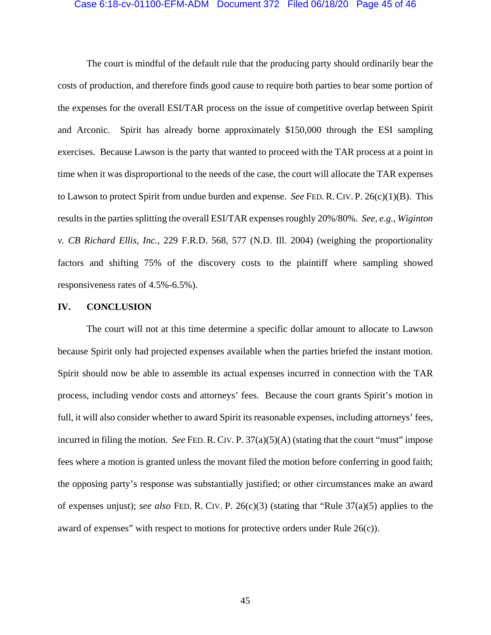#### Case 6:18-cv-01100-EFM-ADM Document 372 Filed 06/18/20 Page 45 of 46

The court is mindful of the default rule that the producing party should ordinarily bear the costs of production, and therefore finds good cause to require both parties to bear some portion of the expenses for the overall ESI/TAR process on the issue of competitive overlap between Spirit and Arconic. Spirit has already borne approximately \$150,000 through the ESI sampling exercises. Because Lawson is the party that wanted to proceed with the TAR process at a point in time when it was disproportional to the needs of the case, the court will allocate the TAR expenses to Lawson to protect Spirit from undue burden and expense. *See* FED. R. CIV. P. 26(c)(1)(B). This results in the parties splitting the overall ESI/TAR expenses roughly 20%/80%. *See, e.g.*, *Wiginton v. CB Richard Ellis, Inc.*, 229 F.R.D. 568, 577 (N.D. Ill. 2004) (weighing the proportionality factors and shifting 75% of the discovery costs to the plaintiff where sampling showed responsiveness rates of 4.5%-6.5%).

## **IV. CONCLUSION**

The court will not at this time determine a specific dollar amount to allocate to Lawson because Spirit only had projected expenses available when the parties briefed the instant motion. Spirit should now be able to assemble its actual expenses incurred in connection with the TAR process, including vendor costs and attorneys' fees. Because the court grants Spirit's motion in full, it will also consider whether to award Spirit its reasonable expenses, including attorneys' fees, incurred in filing the motion. *See* FED. R. CIV. P. 37(a)(5)(A) (stating that the court "must" impose fees where a motion is granted unless the movant filed the motion before conferring in good faith; the opposing party's response was substantially justified; or other circumstances make an award of expenses unjust); *see also* FED. R. CIV. P. 26(c)(3) (stating that "Rule 37(a)(5) applies to the award of expenses" with respect to motions for protective orders under Rule 26(c)).